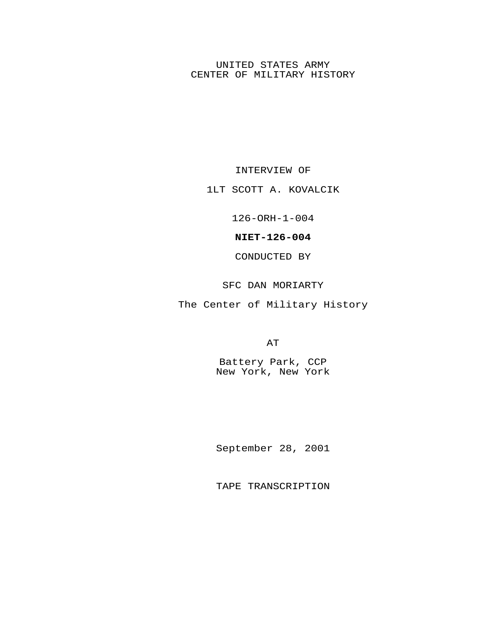## UNITED STATES ARMY CENTER OF MILITARY HISTORY

INTERVIEW OF

1LT SCOTT A. KOVALCIK

126-ORH-1-004

**NIET-126-004**

CONDUCTED BY

SFC DAN MORIARTY

The Center of Military History

AT

Battery Park, CCP New York, New York

September 28, 2001

TAPE TRANSCRIPTION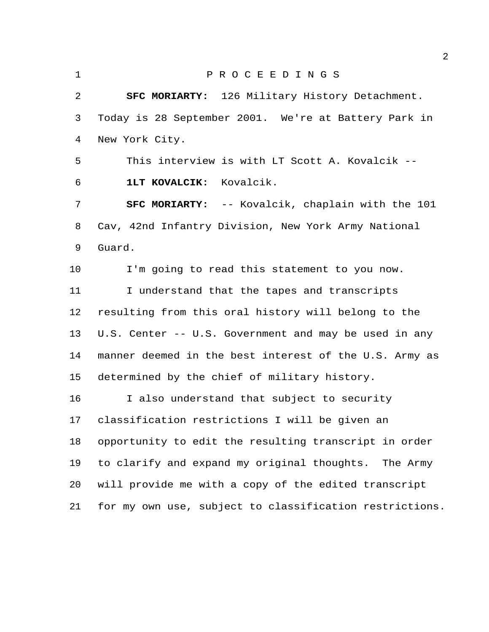P R O C E E D I N G S **SFC MORIARTY:** 126 Military History Detachment. Today is 28 September 2001. We're at Battery Park in New York City. This interview is with LT Scott A. Kovalcik -- **1LT KOVALCIK:** Kovalcik. **SFC MORIARTY:** -- Kovalcik, chaplain with the 101 Cav, 42nd Infantry Division, New York Army National Guard. I'm going to read this statement to you now. I understand that the tapes and transcripts resulting from this oral history will belong to the U.S. Center -- U.S. Government and may be used in any manner deemed in the best interest of the U.S. Army as determined by the chief of military history. I also understand that subject to security classification restrictions I will be given an opportunity to edit the resulting transcript in order to clarify and expand my original thoughts. The Army will provide me with a copy of the edited transcript for my own use, subject to classification restrictions.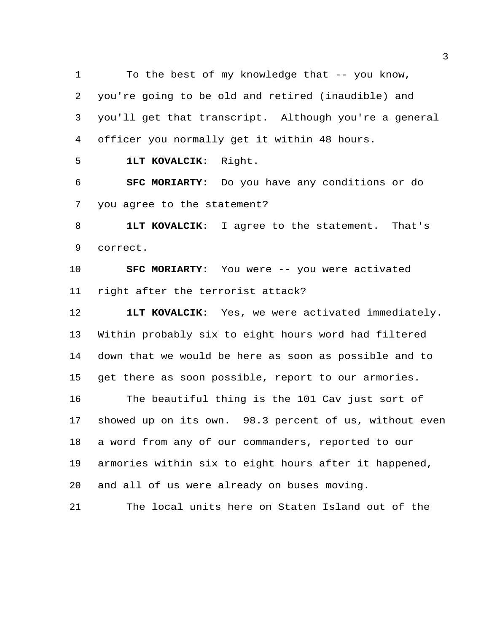To the best of my knowledge that -- you know, you're going to be old and retired (inaudible) and you'll get that transcript. Although you're a general officer you normally get it within 48 hours.

**1LT KOVALCIK:** Right.

 **SFC MORIARTY:** Do you have any conditions or do you agree to the statement?

 **1LT KOVALCIK:** I agree to the statement. That's correct.

 **SFC MORIARTY:** You were -- you were activated right after the terrorist attack?

 **1LT KOVALCIK:** Yes, we were activated immediately. Within probably six to eight hours word had filtered down that we would be here as soon as possible and to get there as soon possible, report to our armories.

 The beautiful thing is the 101 Cav just sort of showed up on its own. 98.3 percent of us, without even a word from any of our commanders, reported to our armories within six to eight hours after it happened, and all of us were already on buses moving.

The local units here on Staten Island out of the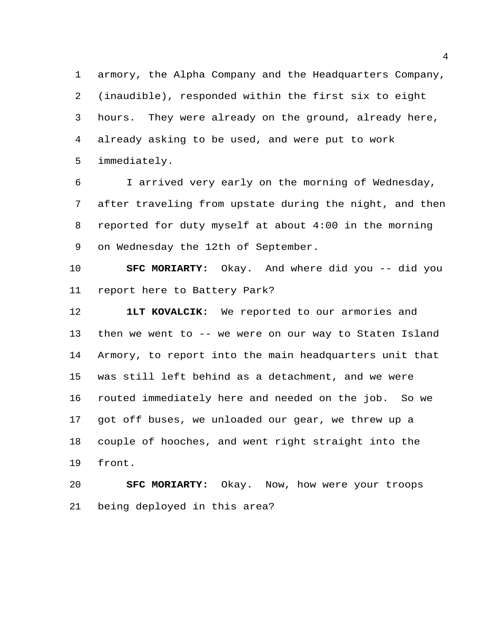armory, the Alpha Company and the Headquarters Company, (inaudible), responded within the first six to eight hours. They were already on the ground, already here, already asking to be used, and were put to work immediately.

 I arrived very early on the morning of Wednesday, after traveling from upstate during the night, and then reported for duty myself at about 4:00 in the morning on Wednesday the 12th of September.

 **SFC MORIARTY:** Okay. And where did you -- did you report here to Battery Park?

 **1LT KOVALCIK:** We reported to our armories and then we went to -- we were on our way to Staten Island Armory, to report into the main headquarters unit that was still left behind as a detachment, and we were routed immediately here and needed on the job. So we got off buses, we unloaded our gear, we threw up a couple of hooches, and went right straight into the front.

 **SFC MORIARTY:** Okay. Now, how were your troops being deployed in this area?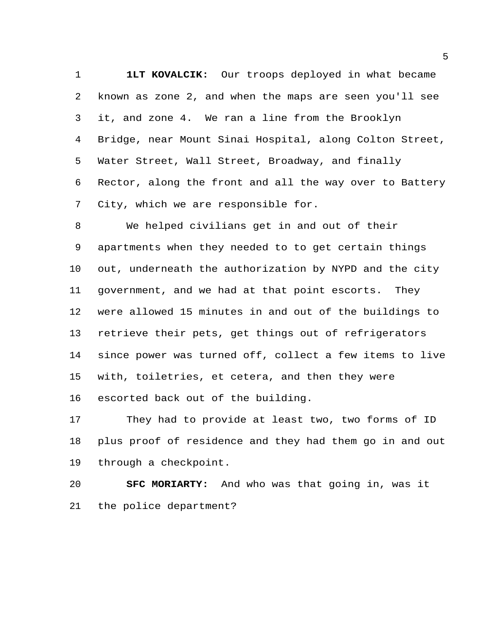**1LT KOVALCIK:** Our troops deployed in what became known as zone 2, and when the maps are seen you'll see it, and zone 4. We ran a line from the Brooklyn Bridge, near Mount Sinai Hospital, along Colton Street, Water Street, Wall Street, Broadway, and finally Rector, along the front and all the way over to Battery City, which we are responsible for.

 We helped civilians get in and out of their apartments when they needed to to get certain things out, underneath the authorization by NYPD and the city government, and we had at that point escorts. They were allowed 15 minutes in and out of the buildings to retrieve their pets, get things out of refrigerators since power was turned off, collect a few items to live with, toiletries, et cetera, and then they were escorted back out of the building.

 They had to provide at least two, two forms of ID plus proof of residence and they had them go in and out through a checkpoint.

 **SFC MORIARTY:** And who was that going in, was it the police department?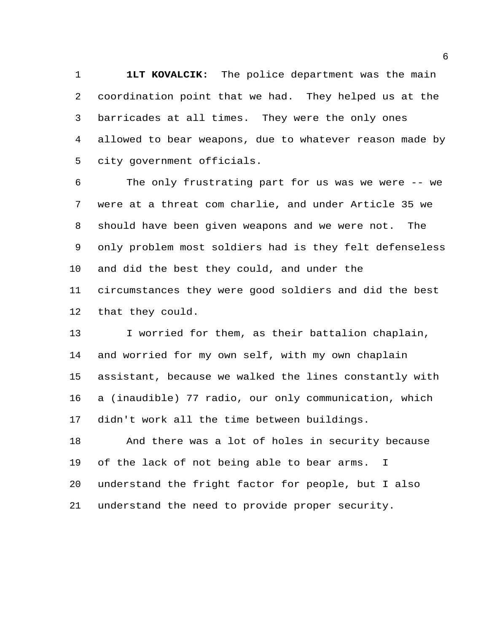**1LT KOVALCIK:** The police department was the main coordination point that we had. They helped us at the barricades at all times. They were the only ones allowed to bear weapons, due to whatever reason made by city government officials.

 The only frustrating part for us was we were -- we were at a threat com charlie, and under Article 35 we should have been given weapons and we were not. The only problem most soldiers had is they felt defenseless and did the best they could, and under the circumstances they were good soldiers and did the best that they could.

 I worried for them, as their battalion chaplain, and worried for my own self, with my own chaplain assistant, because we walked the lines constantly with a (inaudible) 77 radio, our only communication, which didn't work all the time between buildings.

 And there was a lot of holes in security because of the lack of not being able to bear arms. I understand the fright factor for people, but I also understand the need to provide proper security.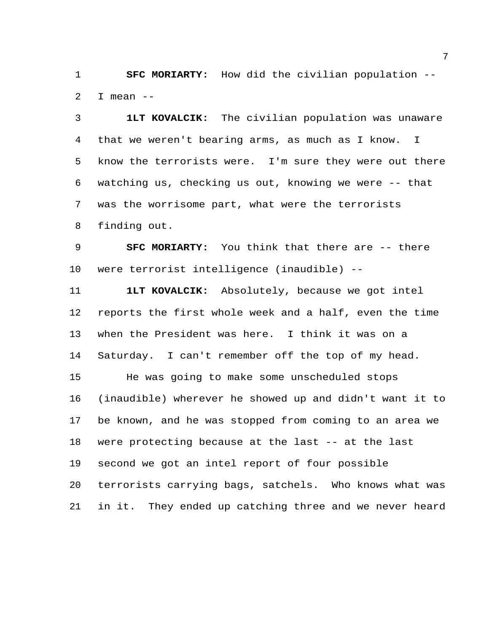**SFC MORIARTY:** How did the civilian population -- 2 I mean  $-$ 

 **1LT KOVALCIK:** The civilian population was unaware that we weren't bearing arms, as much as I know. I know the terrorists were. I'm sure they were out there watching us, checking us out, knowing we were -- that was the worrisome part, what were the terrorists finding out.

 **SFC MORIARTY:** You think that there are -- there were terrorist intelligence (inaudible) --

 **1LT KOVALCIK:** Absolutely, because we got intel reports the first whole week and a half, even the time when the President was here. I think it was on a Saturday. I can't remember off the top of my head. He was going to make some unscheduled stops (inaudible) wherever he showed up and didn't want it to be known, and he was stopped from coming to an area we were protecting because at the last -- at the last second we got an intel report of four possible terrorists carrying bags, satchels. Who knows what was in it. They ended up catching three and we never heard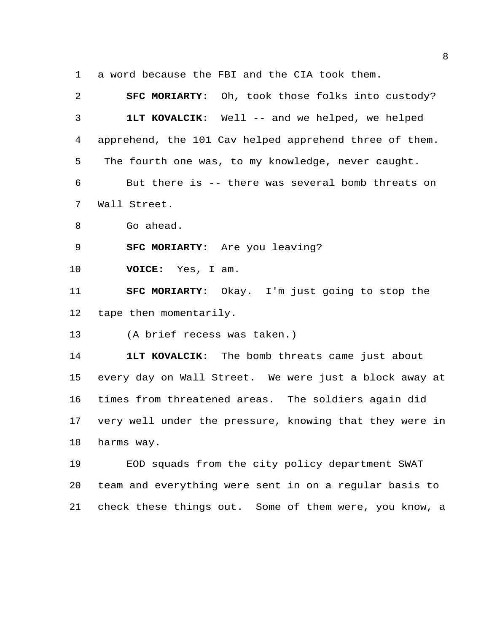a word because the FBI and the CIA took them.

 **SFC MORIARTY:** Oh, took those folks into custody? **1LT KOVALCIK:** Well -- and we helped, we helped apprehend, the 101 Cav helped apprehend three of them. The fourth one was, to my knowledge, never caught. But there is -- there was several bomb threats on Wall Street. Go ahead. **SFC MORIARTY:** Are you leaving? **VOICE:** Yes, I am. **SFC MORIARTY:** Okay. I'm just going to stop the tape then momentarily. (A brief recess was taken.) **1LT KOVALCIK:** The bomb threats came just about every day on Wall Street. We were just a block away at times from threatened areas. The soldiers again did very well under the pressure, knowing that they were in harms way.

 EOD squads from the city policy department SWAT team and everything were sent in on a regular basis to check these things out. Some of them were, you know, a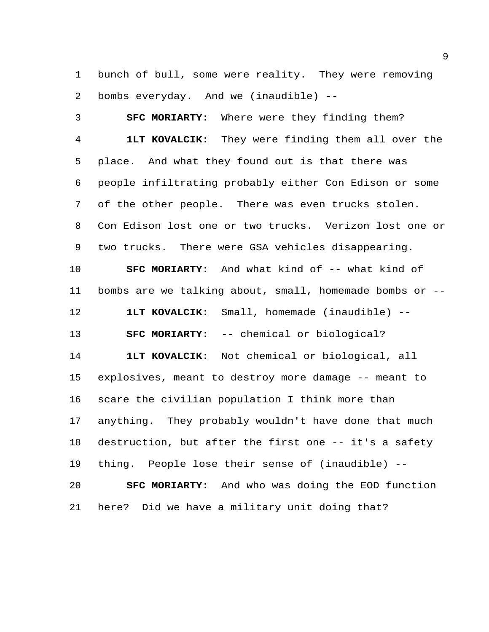bunch of bull, some were reality. They were removing bombs everyday. And we (inaudible) --

 **SFC MORIARTY:** Where were they finding them? **1LT KOVALCIK:** They were finding them all over the place. And what they found out is that there was people infiltrating probably either Con Edison or some of the other people. There was even trucks stolen. Con Edison lost one or two trucks. Verizon lost one or two trucks. There were GSA vehicles disappearing. **SFC MORIARTY:** And what kind of -- what kind of bombs are we talking about, small, homemade bombs or -- **1LT KOVALCIK:** Small, homemade (inaudible) -- **SFC MORIARTY:** -- chemical or biological? **1LT KOVALCIK:** Not chemical or biological, all explosives, meant to destroy more damage -- meant to scare the civilian population I think more than anything. They probably wouldn't have done that much destruction, but after the first one -- it's a safety thing. People lose their sense of (inaudible) -- **SFC MORIARTY:** And who was doing the EOD function here? Did we have a military unit doing that?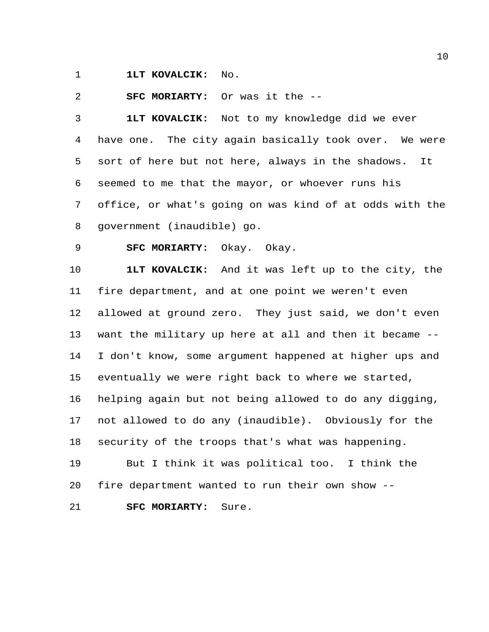**1LT KOVALCIK:** No.

**SFC MORIARTY:** Or was it the --

 **1LT KOVALCIK:** Not to my knowledge did we ever have one. The city again basically took over. We were sort of here but not here, always in the shadows. It seemed to me that the mayor, or whoever runs his office, or what's going on was kind of at odds with the government (inaudible) go.

**SFC MORIARTY:** Okay. Okay.

 **1LT KOVALCIK:** And it was left up to the city, the fire department, and at one point we weren't even allowed at ground zero. They just said, we don't even want the military up here at all and then it became -- I don't know, some argument happened at higher ups and eventually we were right back to where we started, helping again but not being allowed to do any digging, not allowed to do any (inaudible). Obviously for the security of the troops that's what was happening. But I think it was political too. I think the fire department wanted to run their own show -- **SFC MORIARTY:** Sure.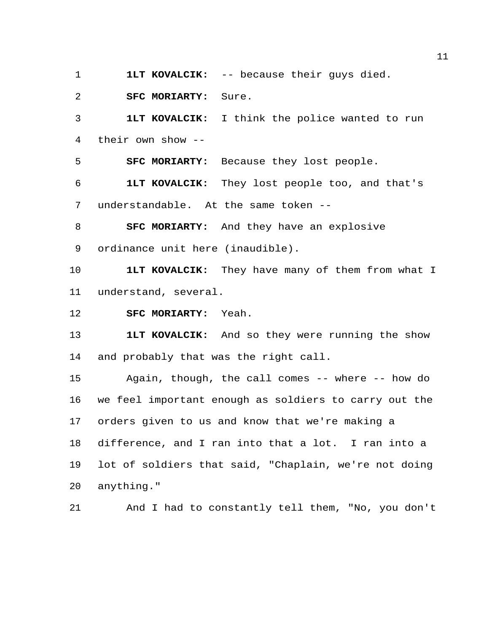**1LT KOVALCIK:** -- because their guys died.

**SFC MORIARTY:** Sure.

 **1LT KOVALCIK:** I think the police wanted to run their own show --

**SFC MORIARTY:** Because they lost people.

 **1LT KOVALCIK:** They lost people too, and that's understandable. At the same token --

 **SFC MORIARTY:** And they have an explosive ordinance unit here (inaudible).

 **1LT KOVALCIK:** They have many of them from what I understand, several.

**SFC MORIARTY:** Yeah.

 **1LT KOVALCIK:** And so they were running the show and probably that was the right call.

 Again, though, the call comes -- where -- how do we feel important enough as soldiers to carry out the orders given to us and know that we're making a difference, and I ran into that a lot. I ran into a lot of soldiers that said, "Chaplain, we're not doing anything."

And I had to constantly tell them, "No, you don't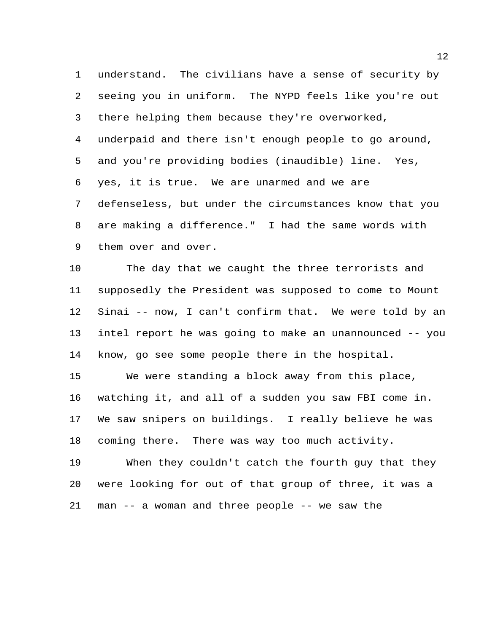understand. The civilians have a sense of security by seeing you in uniform. The NYPD feels like you're out there helping them because they're overworked, underpaid and there isn't enough people to go around, and you're providing bodies (inaudible) line. Yes, yes, it is true. We are unarmed and we are defenseless, but under the circumstances know that you are making a difference." I had the same words with them over and over.

 The day that we caught the three terrorists and supposedly the President was supposed to come to Mount Sinai -- now, I can't confirm that. We were told by an intel report he was going to make an unannounced -- you know, go see some people there in the hospital.

 We were standing a block away from this place, watching it, and all of a sudden you saw FBI come in. We saw snipers on buildings. I really believe he was coming there. There was way too much activity.

 When they couldn't catch the fourth guy that they were looking for out of that group of three, it was a man -- a woman and three people -- we saw the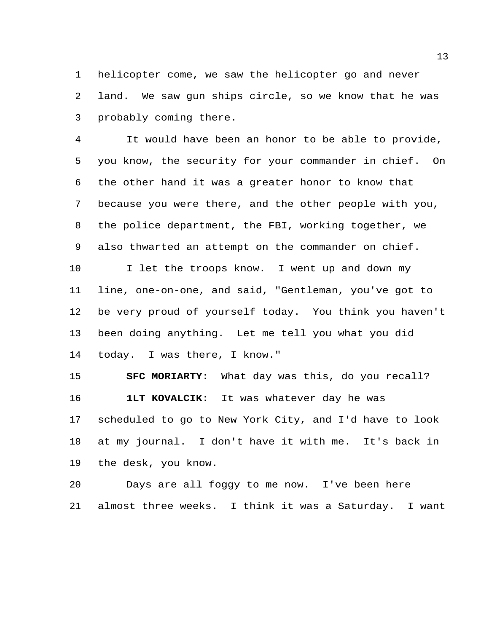helicopter come, we saw the helicopter go and never land. We saw gun ships circle, so we know that he was probably coming there.

 It would have been an honor to be able to provide, you know, the security for your commander in chief. On the other hand it was a greater honor to know that because you were there, and the other people with you, the police department, the FBI, working together, we also thwarted an attempt on the commander on chief.

10 I let the troops know. I went up and down my line, one-on-one, and said, "Gentleman, you've got to be very proud of yourself today. You think you haven't been doing anything. Let me tell you what you did today. I was there, I know."

 **SFC MORIARTY:** What day was this, do you recall? **1LT KOVALCIK:** It was whatever day he was scheduled to go to New York City, and I'd have to look at my journal. I don't have it with me. It's back in the desk, you know.

 Days are all foggy to me now. I've been here almost three weeks. I think it was a Saturday. I want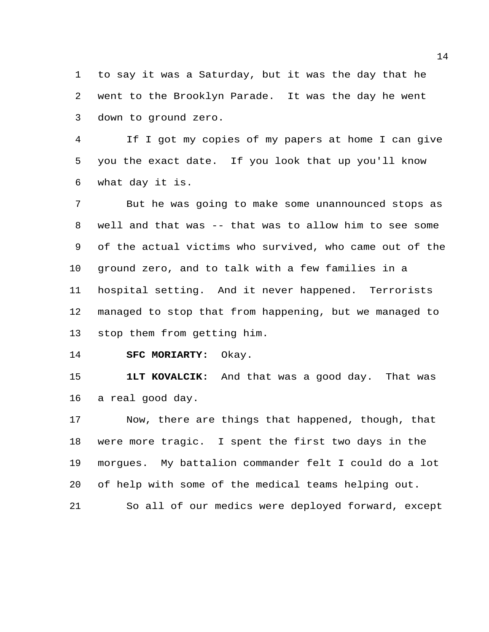to say it was a Saturday, but it was the day that he went to the Brooklyn Parade. It was the day he went down to ground zero.

 If I got my copies of my papers at home I can give you the exact date. If you look that up you'll know what day it is.

 But he was going to make some unannounced stops as well and that was -- that was to allow him to see some of the actual victims who survived, who came out of the ground zero, and to talk with a few families in a hospital setting. And it never happened. Terrorists managed to stop that from happening, but we managed to stop them from getting him.

**SFC MORIARTY:** Okay.

 **1LT KOVALCIK:** And that was a good day. That was a real good day.

 Now, there are things that happened, though, that were more tragic. I spent the first two days in the morgues. My battalion commander felt I could do a lot of help with some of the medical teams helping out. So all of our medics were deployed forward, except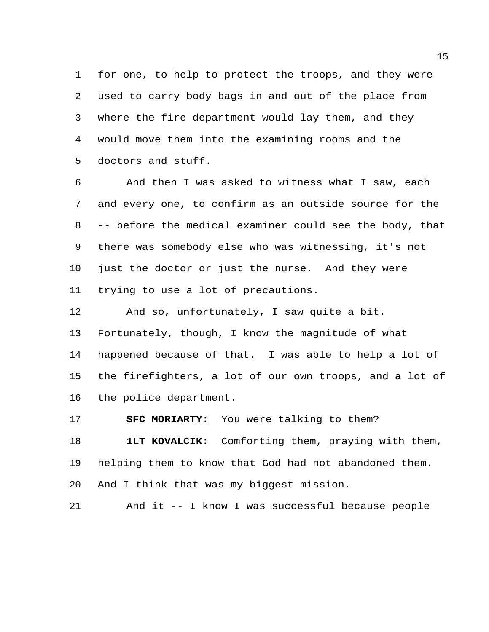for one, to help to protect the troops, and they were used to carry body bags in and out of the place from where the fire department would lay them, and they would move them into the examining rooms and the doctors and stuff.

 And then I was asked to witness what I saw, each and every one, to confirm as an outside source for the -- before the medical examiner could see the body, that there was somebody else who was witnessing, it's not just the doctor or just the nurse. And they were trying to use a lot of precautions.

 And so, unfortunately, I saw quite a bit. Fortunately, though, I know the magnitude of what happened because of that. I was able to help a lot of the firefighters, a lot of our own troops, and a lot of the police department.

**SFC MORIARTY:** You were talking to them?

 **1LT KOVALCIK:** Comforting them, praying with them, helping them to know that God had not abandoned them. And I think that was my biggest mission.

And it -- I know I was successful because people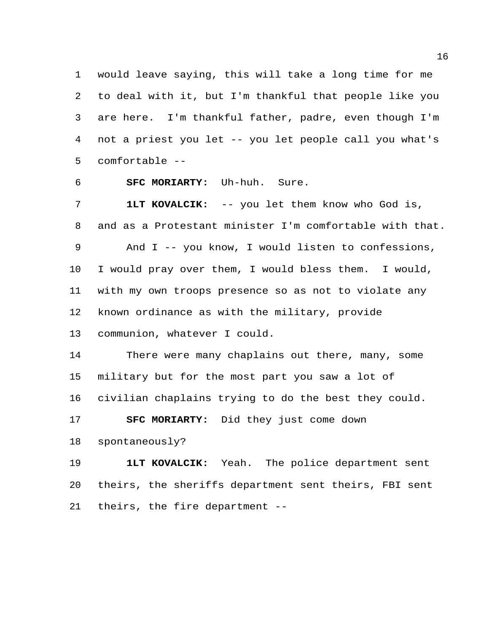would leave saying, this will take a long time for me to deal with it, but I'm thankful that people like you are here. I'm thankful father, padre, even though I'm not a priest you let -- you let people call you what's comfortable --

**SFC MORIARTY:** Uh-huh. Sure.

 **1LT KOVALCIK:** -- you let them know who God is, and as a Protestant minister I'm comfortable with that. And I -- you know, I would listen to confessions, I would pray over them, I would bless them. I would, with my own troops presence so as not to violate any known ordinance as with the military, provide

communion, whatever I could.

 There were many chaplains out there, many, some military but for the most part you saw a lot of civilian chaplains trying to do the best they could.

**SFC MORIARTY:** Did they just come down

spontaneously?

 **1LT KOVALCIK:** Yeah. The police department sent theirs, the sheriffs department sent theirs, FBI sent theirs, the fire department --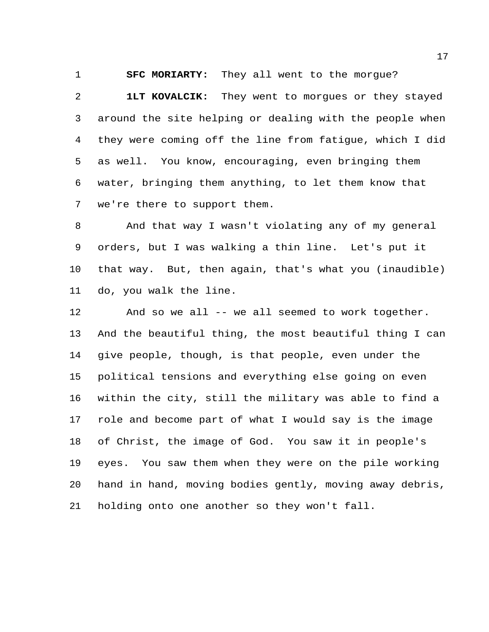**SFC MORIARTY:** They all went to the morgue?

 **1LT KOVALCIK:** They went to morgues or they stayed around the site helping or dealing with the people when they were coming off the line from fatigue, which I did as well. You know, encouraging, even bringing them water, bringing them anything, to let them know that we're there to support them.

 And that way I wasn't violating any of my general orders, but I was walking a thin line. Let's put it that way. But, then again, that's what you (inaudible) do, you walk the line.

 And so we all -- we all seemed to work together. And the beautiful thing, the most beautiful thing I can give people, though, is that people, even under the political tensions and everything else going on even within the city, still the military was able to find a role and become part of what I would say is the image of Christ, the image of God. You saw it in people's eyes. You saw them when they were on the pile working hand in hand, moving bodies gently, moving away debris, holding onto one another so they won't fall.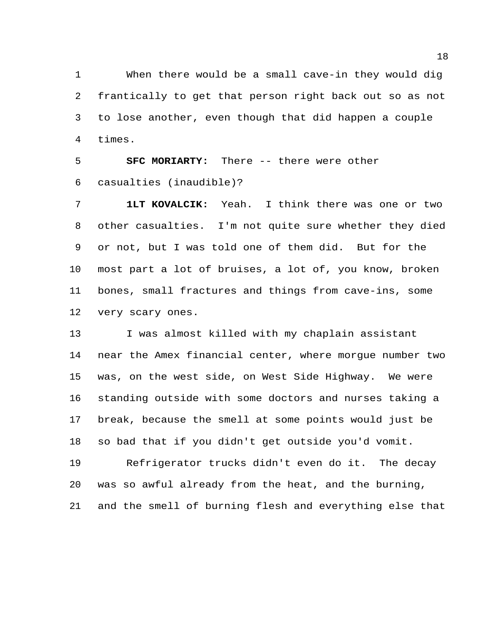When there would be a small cave-in they would dig frantically to get that person right back out so as not to lose another, even though that did happen a couple times.

**SFC MORIARTY:** There -- there were other casualties (inaudible)?

 **1LT KOVALCIK:** Yeah. I think there was one or two other casualties. I'm not quite sure whether they died or not, but I was told one of them did. But for the most part a lot of bruises, a lot of, you know, broken bones, small fractures and things from cave-ins, some very scary ones.

 I was almost killed with my chaplain assistant near the Amex financial center, where morgue number two was, on the west side, on West Side Highway. We were standing outside with some doctors and nurses taking a break, because the smell at some points would just be so bad that if you didn't get outside you'd vomit.

 Refrigerator trucks didn't even do it. The decay was so awful already from the heat, and the burning, and the smell of burning flesh and everything else that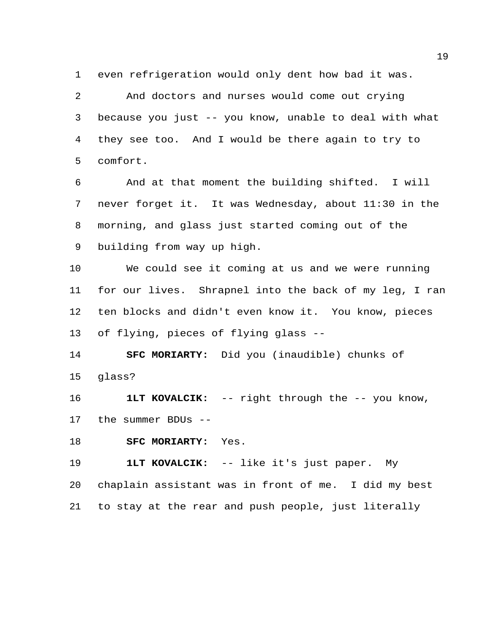even refrigeration would only dent how bad it was.

 And doctors and nurses would come out crying because you just -- you know, unable to deal with what they see too. And I would be there again to try to comfort.

 And at that moment the building shifted. I will never forget it. It was Wednesday, about 11:30 in the morning, and glass just started coming out of the building from way up high.

 We could see it coming at us and we were running for our lives. Shrapnel into the back of my leg, I ran ten blocks and didn't even know it. You know, pieces of flying, pieces of flying glass --

 **SFC MORIARTY:** Did you (inaudible) chunks of glass?

 **1LT KOVALCIK:** -- right through the -- you know, the summer BDUs --

**SFC MORIARTY:** Yes.

**1LT KOVALCIK:** -- like it's just paper. My

 chaplain assistant was in front of me. I did my best to stay at the rear and push people, just literally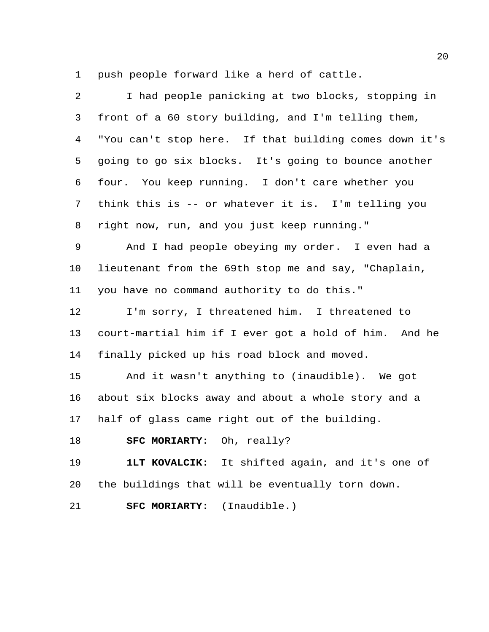push people forward like a herd of cattle.

| $\overline{a}$ | I had people panicking at two blocks, stopping in      |
|----------------|--------------------------------------------------------|
| 3              | front of a 60 story building, and I'm telling them,    |
| 4              | "You can't stop here. If that building comes down it's |
| 5              | going to go six blocks. It's going to bounce another   |
| 6              | four. You keep running. I don't care whether you       |
| 7              | think this is -- or whatever it is. I'm telling you    |
| 8              | right now, run, and you just keep running."            |
| 9              | And I had people obeying my order. I even had a        |
| 10             | lieutenant from the 69th stop me and say, "Chaplain,   |
| 11             | you have no command authority to do this."             |
| 12             | I'm sorry, I threatened him. I threatened to           |
| 13             | court-martial him if I ever got a hold of him. And he  |
| 14             | finally picked up his road block and moved.            |
| 15             | And it wasn't anything to (inaudible). We got          |
| 16             | about six blocks away and about a whole story and a    |
| 17             | half of glass came right out of the building.          |
| 18             | SFC MORIARTY: Oh, really?                              |
| 19             | 1LT KOVALCIK: It shifted again, and it's one of        |
| 20             | the buildings that will be eventually torn down.       |
| 21             | (Inaudible.)<br>SFC MORIARTY:                          |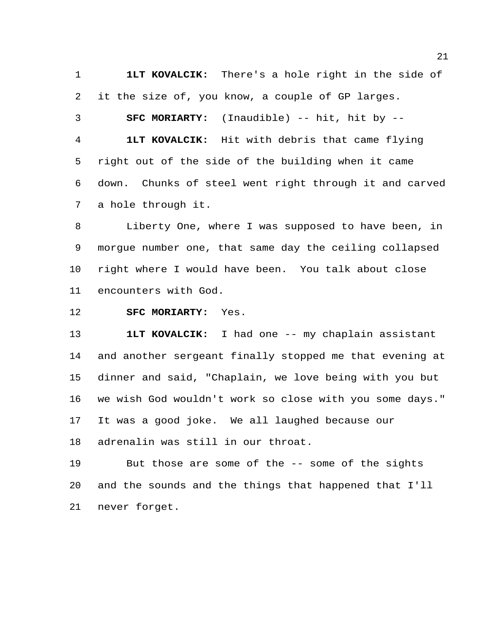**1LT KOVALCIK:** There's a hole right in the side of it the size of, you know, a couple of GP larges.

 **SFC MORIARTY:** (Inaudible) -- hit, hit by -- **1LT KOVALCIK:** Hit with debris that came flying right out of the side of the building when it came down. Chunks of steel went right through it and carved a hole through it.

 Liberty One, where I was supposed to have been, in morgue number one, that same day the ceiling collapsed right where I would have been. You talk about close encounters with God.

## **SFC MORIARTY:** Yes.

 **1LT KOVALCIK:** I had one -- my chaplain assistant and another sergeant finally stopped me that evening at dinner and said, "Chaplain, we love being with you but we wish God wouldn't work so close with you some days." It was a good joke. We all laughed because our adrenalin was still in our throat.

 But those are some of the -- some of the sights and the sounds and the things that happened that I'll never forget.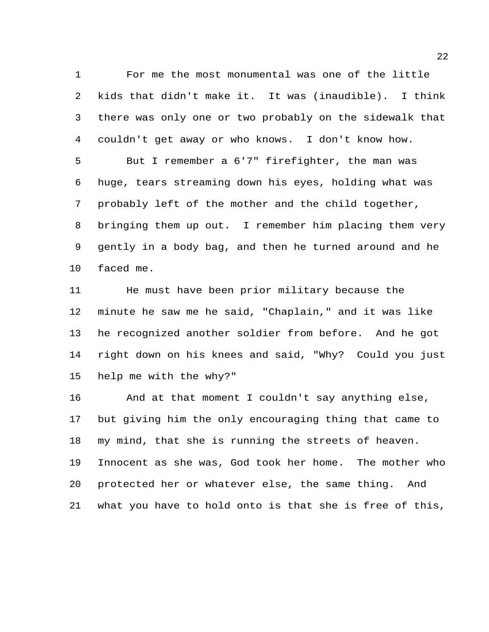For me the most monumental was one of the little kids that didn't make it. It was (inaudible). I think there was only one or two probably on the sidewalk that couldn't get away or who knows. I don't know how. But I remember a 6'7" firefighter, the man was huge, tears streaming down his eyes, holding what was probably left of the mother and the child together, bringing them up out. I remember him placing them very gently in a body bag, and then he turned around and he faced me.

 He must have been prior military because the minute he saw me he said, "Chaplain," and it was like he recognized another soldier from before. And he got right down on his knees and said, "Why? Could you just help me with the why?"

 And at that moment I couldn't say anything else, but giving him the only encouraging thing that came to my mind, that she is running the streets of heaven. Innocent as she was, God took her home. The mother who protected her or whatever else, the same thing. And what you have to hold onto is that she is free of this,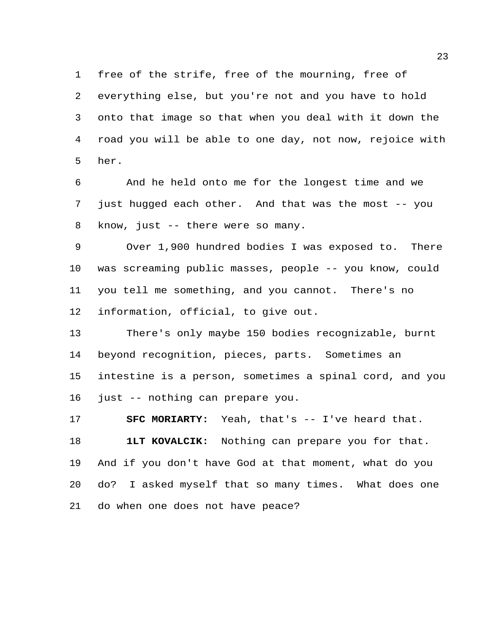free of the strife, free of the mourning, free of everything else, but you're not and you have to hold onto that image so that when you deal with it down the road you will be able to one day, not now, rejoice with her.

 And he held onto me for the longest time and we just hugged each other. And that was the most -- you know, just -- there were so many.

 Over 1,900 hundred bodies I was exposed to. There was screaming public masses, people -- you know, could you tell me something, and you cannot. There's no information, official, to give out.

 There's only maybe 150 bodies recognizable, burnt beyond recognition, pieces, parts. Sometimes an intestine is a person, sometimes a spinal cord, and you just -- nothing can prepare you.

 **SFC MORIARTY:** Yeah, that's -- I've heard that. **1LT KOVALCIK:** Nothing can prepare you for that. And if you don't have God at that moment, what do you do? I asked myself that so many times. What does one do when one does not have peace?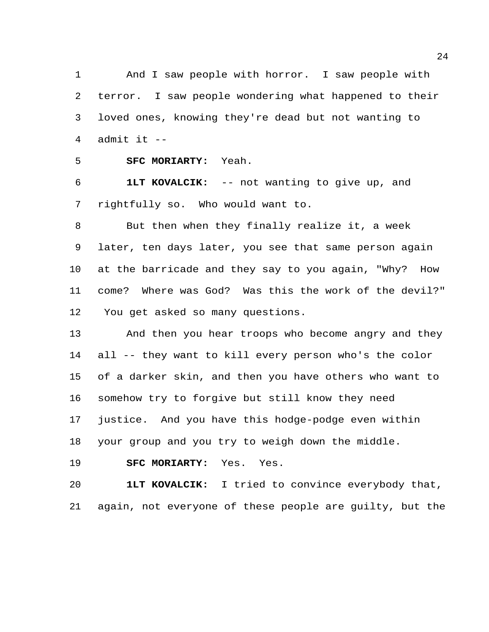And I saw people with horror. I saw people with terror. I saw people wondering what happened to their loved ones, knowing they're dead but not wanting to 4 admit it  $-$ 

**SFC MORIARTY:** Yeah.

 **1LT KOVALCIK:** -- not wanting to give up, and rightfully so. Who would want to.

 But then when they finally realize it, a week later, ten days later, you see that same person again at the barricade and they say to you again, "Why? How come? Where was God? Was this the work of the devil?" You get asked so many questions.

 And then you hear troops who become angry and they all -- they want to kill every person who's the color of a darker skin, and then you have others who want to somehow try to forgive but still know they need justice. And you have this hodge-podge even within your group and you try to weigh down the middle.

**SFC MORIARTY:** Yes. Yes.

 **1LT KOVALCIK:** I tried to convince everybody that, again, not everyone of these people are guilty, but the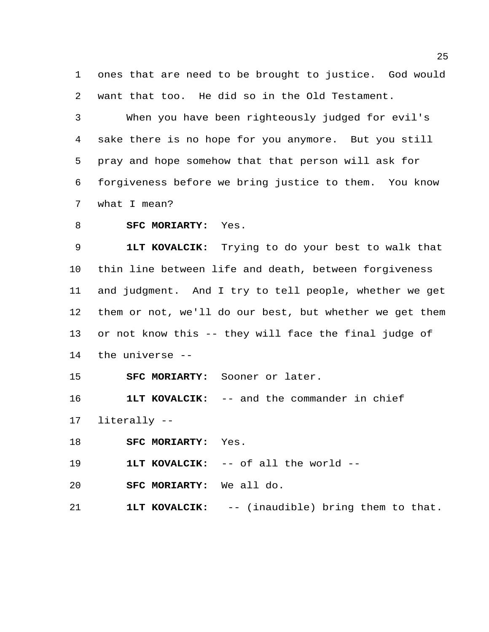ones that are need to be brought to justice. God would want that too. He did so in the Old Testament.

 When you have been righteously judged for evil's sake there is no hope for you anymore. But you still pray and hope somehow that that person will ask for forgiveness before we bring justice to them. You know what I mean?

**SFC MORIARTY:** Yes.

 **1LT KOVALCIK:** Trying to do your best to walk that thin line between life and death, between forgiveness and judgment. And I try to tell people, whether we get them or not, we'll do our best, but whether we get them or not know this -- they will face the final judge of the universe --

**SFC MORIARTY:** Sooner or later.

**1LT KOVALCIK:** -- and the commander in chief

literally --

**SFC MORIARTY:** Yes.

**1LT KOVALCIK:** -- of all the world --

**SFC MORIARTY:** We all do.

**1LT KOVALCIK:** -- (inaudible) bring them to that.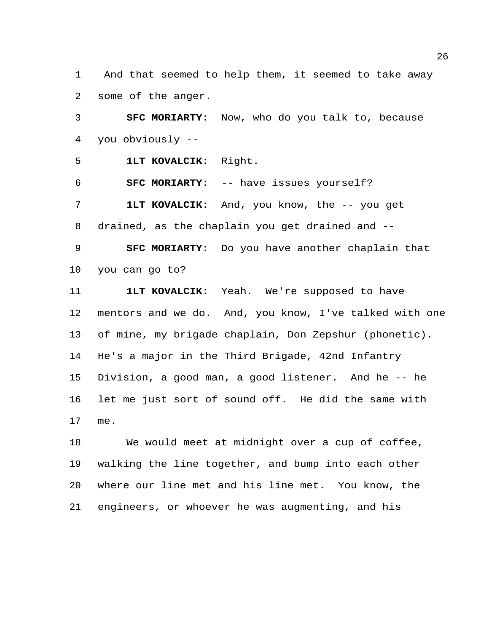And that seemed to help them, it seemed to take away some of the anger.

 **SFC MORIARTY:** Now, who do you talk to, because you obviously --

**1LT KOVALCIK:** Right.

**SFC MORIARTY:** -- have issues yourself?

 **1LT KOVALCIK:** And, you know, the -- you get drained, as the chaplain you get drained and --

 **SFC MORIARTY:** Do you have another chaplain that you can go to?

 **1LT KOVALCIK:** Yeah. We're supposed to have mentors and we do. And, you know, I've talked with one of mine, my brigade chaplain, Don Zepshur (phonetic). He's a major in the Third Brigade, 42nd Infantry Division, a good man, a good listener. And he -- he let me just sort of sound off. He did the same with me.

 We would meet at midnight over a cup of coffee, walking the line together, and bump into each other where our line met and his line met. You know, the engineers, or whoever he was augmenting, and his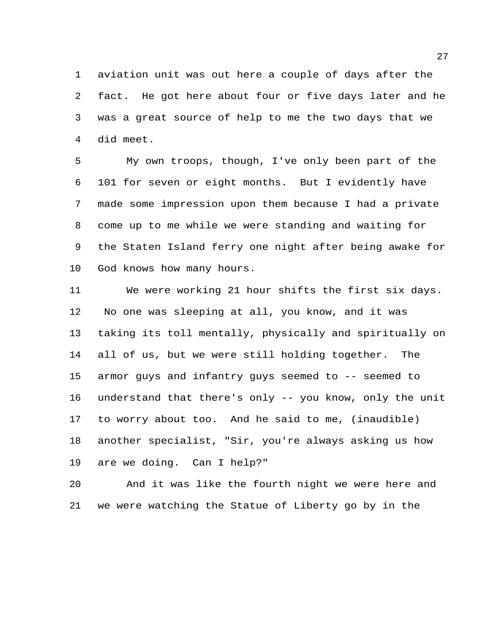aviation unit was out here a couple of days after the fact. He got here about four or five days later and he was a great source of help to me the two days that we did meet.

 My own troops, though, I've only been part of the 101 for seven or eight months. But I evidently have made some impression upon them because I had a private come up to me while we were standing and waiting for the Staten Island ferry one night after being awake for God knows how many hours.

 We were working 21 hour shifts the first six days. No one was sleeping at all, you know, and it was taking its toll mentally, physically and spiritually on all of us, but we were still holding together. The armor guys and infantry guys seemed to -- seemed to understand that there's only -- you know, only the unit to worry about too. And he said to me, (inaudible) another specialist, "Sir, you're always asking us how are we doing. Can I help?"

 And it was like the fourth night we were here and we were watching the Statue of Liberty go by in the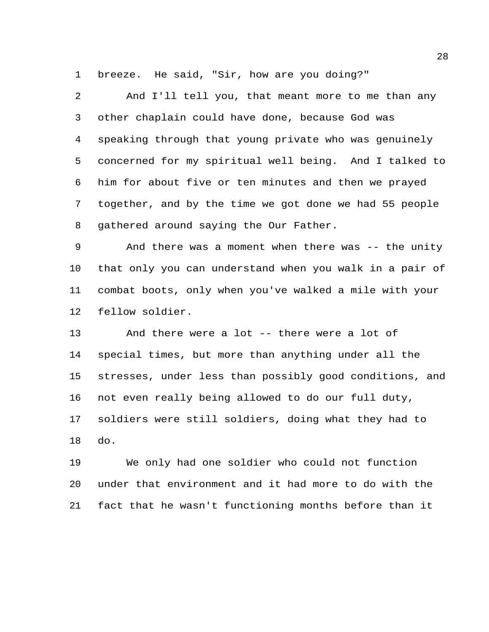breeze. He said, "Sir, how are you doing?"

 And I'll tell you, that meant more to me than any other chaplain could have done, because God was speaking through that young private who was genuinely concerned for my spiritual well being. And I talked to him for about five or ten minutes and then we prayed together, and by the time we got done we had 55 people gathered around saying the Our Father.

 And there was a moment when there was -- the unity that only you can understand when you walk in a pair of combat boots, only when you've walked a mile with your fellow soldier.

 And there were a lot -- there were a lot of special times, but more than anything under all the stresses, under less than possibly good conditions, and not even really being allowed to do our full duty, soldiers were still soldiers, doing what they had to do.

 We only had one soldier who could not function under that environment and it had more to do with the fact that he wasn't functioning months before than it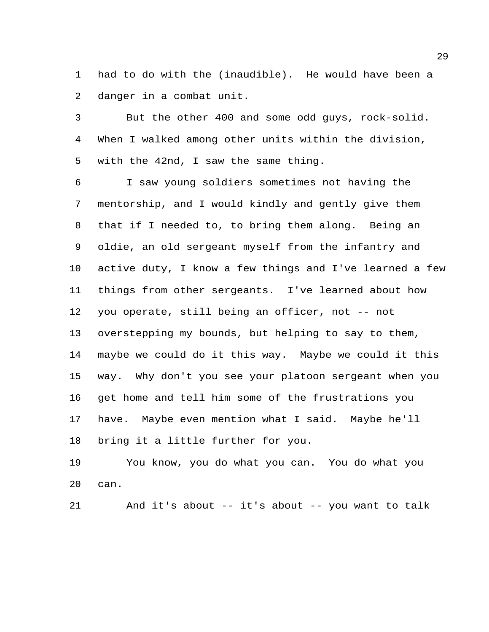had to do with the (inaudible). He would have been a danger in a combat unit.

 But the other 400 and some odd guys, rock-solid. When I walked among other units within the division, with the 42nd, I saw the same thing.

 I saw young soldiers sometimes not having the mentorship, and I would kindly and gently give them that if I needed to, to bring them along. Being an oldie, an old sergeant myself from the infantry and active duty, I know a few things and I've learned a few things from other sergeants. I've learned about how you operate, still being an officer, not -- not overstepping my bounds, but helping to say to them, maybe we could do it this way. Maybe we could it this way. Why don't you see your platoon sergeant when you get home and tell him some of the frustrations you have. Maybe even mention what I said. Maybe he'll bring it a little further for you.

 You know, you do what you can. You do what you can.

And it's about -- it's about -- you want to talk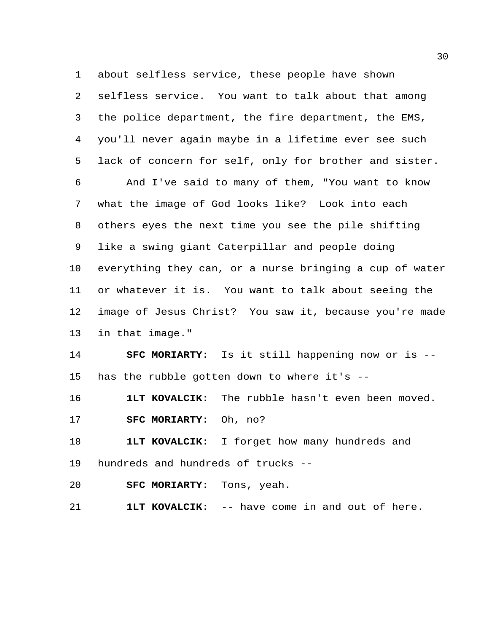about selfless service, these people have shown selfless service. You want to talk about that among the police department, the fire department, the EMS, you'll never again maybe in a lifetime ever see such lack of concern for self, only for brother and sister. And I've said to many of them, "You want to know what the image of God looks like? Look into each others eyes the next time you see the pile shifting like a swing giant Caterpillar and people doing everything they can, or a nurse bringing a cup of water or whatever it is. You want to talk about seeing the image of Jesus Christ? You saw it, because you're made in that image." **SFC MORIARTY:** Is it still happening now or is --

has the rubble gotten down to where it's --

**1LT KOVALCIK:** The rubble hasn't even been moved.

**SFC MORIARTY:** Oh, no?

 **1LT KOVALCIK:** I forget how many hundreds and hundreds and hundreds of trucks --

**SFC MORIARTY:** Tons, yeah.

**1LT KOVALCIK:** -- have come in and out of here.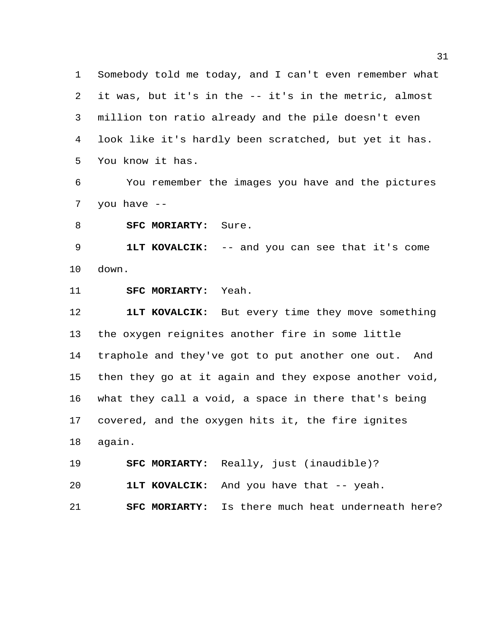Somebody told me today, and I can't even remember what it was, but it's in the -- it's in the metric, almost million ton ratio already and the pile doesn't even look like it's hardly been scratched, but yet it has. You know it has.

 You remember the images you have and the pictures you have --

**SFC MORIARTY:** Sure.

 **1LT KOVALCIK:** -- and you can see that it's come down.

**SFC MORIARTY:** Yeah.

 **1LT KOVALCIK:** But every time they move something the oxygen reignites another fire in some little traphole and they've got to put another one out. And then they go at it again and they expose another void, what they call a void, a space in there that's being covered, and the oxygen hits it, the fire ignites again.

**SFC MORIARTY:** Really, just (inaudible)?

**1LT KOVALCIK:** And you have that -- yeah.

**SFC MORIARTY:** Is there much heat underneath here?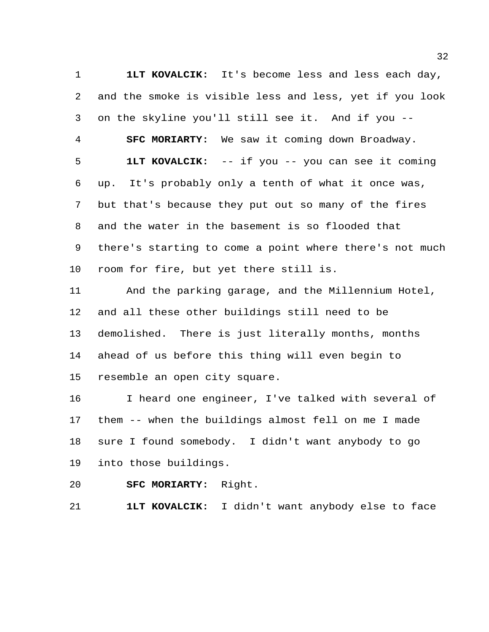**1LT KOVALCIK:** It's become less and less each day, and the smoke is visible less and less, yet if you look on the skyline you'll still see it. And if you -- **SFC MORIARTY:** We saw it coming down Broadway. **1LT KOVALCIK:** -- if you -- you can see it coming up. It's probably only a tenth of what it once was, but that's because they put out so many of the fires and the water in the basement is so flooded that there's starting to come a point where there's not much room for fire, but yet there still is.

 And the parking garage, and the Millennium Hotel, and all these other buildings still need to be demolished. There is just literally months, months ahead of us before this thing will even begin to resemble an open city square.

 I heard one engineer, I've talked with several of them -- when the buildings almost fell on me I made sure I found somebody. I didn't want anybody to go into those buildings.

**SFC MORIARTY:** Right.

**1LT KOVALCIK:** I didn't want anybody else to face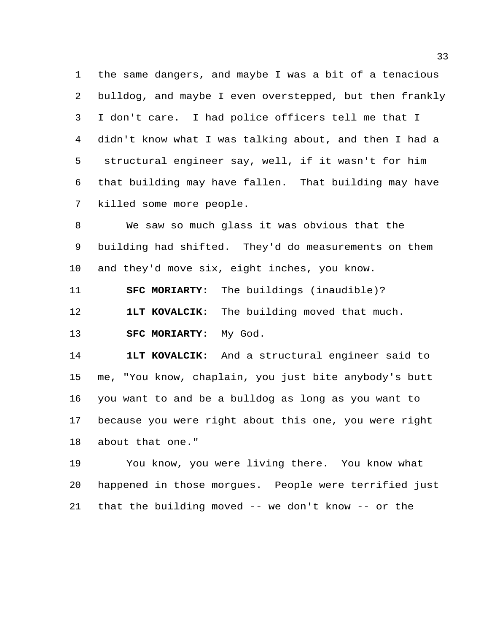the same dangers, and maybe I was a bit of a tenacious bulldog, and maybe I even overstepped, but then frankly I don't care. I had police officers tell me that I didn't know what I was talking about, and then I had a structural engineer say, well, if it wasn't for him that building may have fallen. That building may have killed some more people.

 We saw so much glass it was obvious that the building had shifted. They'd do measurements on them and they'd move six, eight inches, you know.

**SFC MORIARTY:** The buildings (inaudible)?

**1LT KOVALCIK:** The building moved that much.

**SFC MORIARTY:** My God.

 **1LT KOVALCIK:** And a structural engineer said to me, "You know, chaplain, you just bite anybody's butt you want to and be a bulldog as long as you want to because you were right about this one, you were right about that one."

 You know, you were living there. You know what happened in those morgues. People were terrified just that the building moved -- we don't know -- or the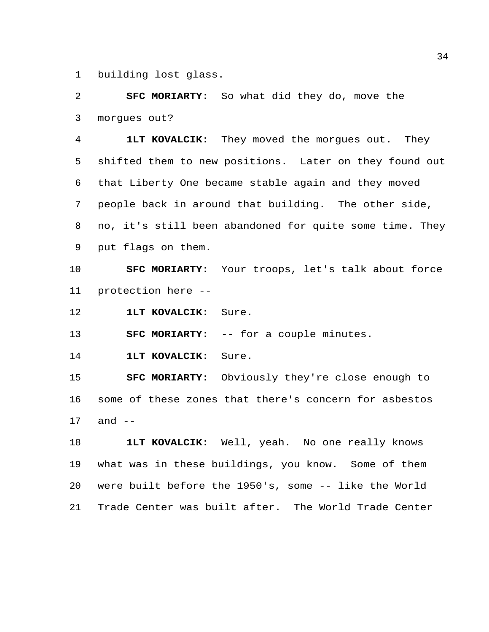building lost glass.

 **SFC MORIARTY:** So what did they do, move the morgues out?

 **1LT KOVALCIK:** They moved the morgues out. They shifted them to new positions. Later on they found out that Liberty One became stable again and they moved people back in around that building. The other side, no, it's still been abandoned for quite some time. They put flags on them.

 **SFC MORIARTY:** Your troops, let's talk about force protection here --

**1LT KOVALCIK:** Sure.

**SFC MORIARTY:** -- for a couple minutes.

**1LT KOVALCIK:** Sure.

 **SFC MORIARTY:** Obviously they're close enough to some of these zones that there's concern for asbestos and --

 **1LT KOVALCIK:** Well, yeah. No one really knows what was in these buildings, you know. Some of them were built before the 1950's, some -- like the World Trade Center was built after. The World Trade Center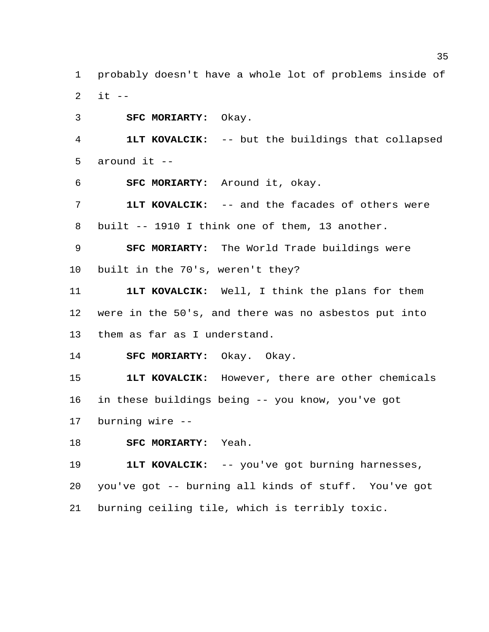probably doesn't have a whole lot of problems inside of it  $-$ 

**SFC MORIARTY:** Okay.

 **1LT KOVALCIK:** -- but the buildings that collapsed around it --

**SFC MORIARTY:** Around it, okay.

 **1LT KOVALCIK:** -- and the facades of others were built -- 1910 I think one of them, 13 another.

**SFC MORIARTY:** The World Trade buildings were

built in the 70's, weren't they?

 **1LT KOVALCIK:** Well, I think the plans for them were in the 50's, and there was no asbestos put into them as far as I understand.

**SFC MORIARTY:** Okay. Okay.

 **1LT KOVALCIK:** However, there are other chemicals in these buildings being -- you know, you've got

burning wire --

**SFC MORIARTY:** Yeah.

**1LT KOVALCIK:** -- you've got burning harnesses,

 you've got -- burning all kinds of stuff. You've got burning ceiling tile, which is terribly toxic.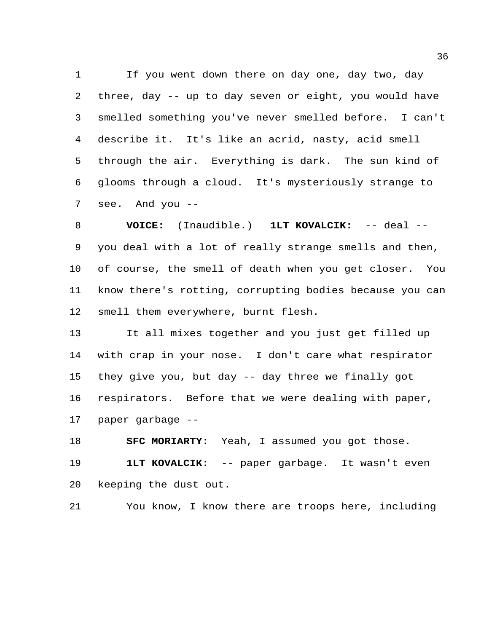If you went down there on day one, day two, day three, day -- up to day seven or eight, you would have smelled something you've never smelled before. I can't describe it. It's like an acrid, nasty, acid smell through the air. Everything is dark. The sun kind of glooms through a cloud. It's mysteriously strange to see. And you --

 **VOICE:** (Inaudible.) **1LT KOVALCIK:** -- deal -- you deal with a lot of really strange smells and then, of course, the smell of death when you get closer. You know there's rotting, corrupting bodies because you can smell them everywhere, burnt flesh.

 It all mixes together and you just get filled up with crap in your nose. I don't care what respirator they give you, but day -- day three we finally got respirators. Before that we were dealing with paper, paper garbage --

 **SFC MORIARTY:** Yeah, I assumed you got those. **1LT KOVALCIK:** -- paper garbage. It wasn't even keeping the dust out.

You know, I know there are troops here, including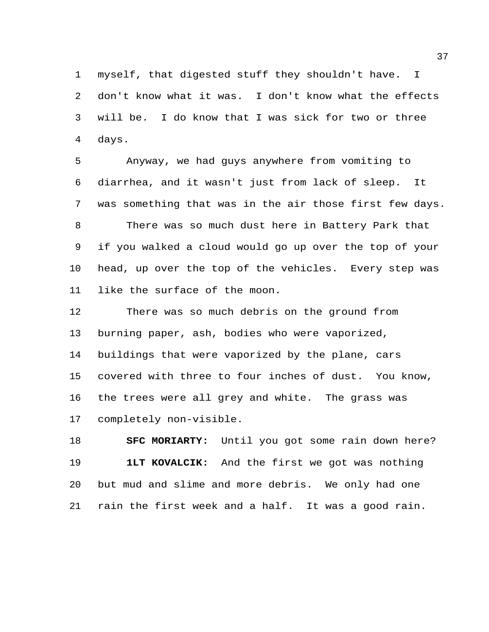myself, that digested stuff they shouldn't have. I don't know what it was. I don't know what the effects will be. I do know that I was sick for two or three days.

 Anyway, we had guys anywhere from vomiting to diarrhea, and it wasn't just from lack of sleep. It was something that was in the air those first few days. There was so much dust here in Battery Park that if you walked a cloud would go up over the top of your head, up over the top of the vehicles. Every step was like the surface of the moon.

 There was so much debris on the ground from burning paper, ash, bodies who were vaporized, buildings that were vaporized by the plane, cars covered with three to four inches of dust. You know, the trees were all grey and white. The grass was completely non-visible.

 **SFC MORIARTY:** Until you got some rain down here? **1LT KOVALCIK:** And the first we got was nothing but mud and slime and more debris. We only had one rain the first week and a half. It was a good rain.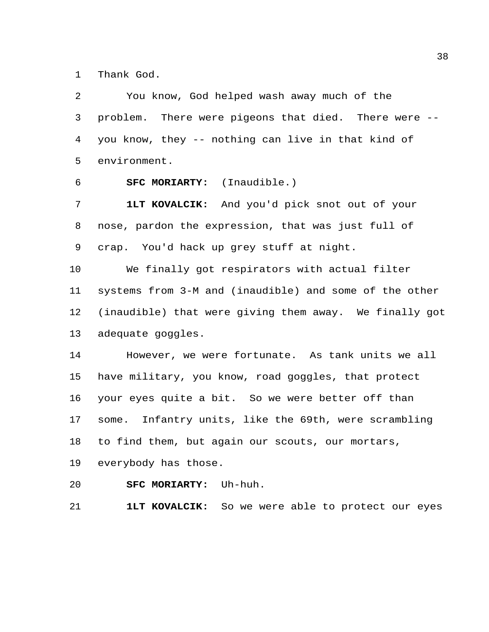Thank God.

| 2  | You know, God helped wash away much of the              |
|----|---------------------------------------------------------|
| 3  | There were pigeons that died. There were --<br>problem. |
| 4  | you know, they -- nothing can live in that kind of      |
| 5  | environment.                                            |
| 6  | SFC MORIARTY: (Inaudible.)                              |
| 7  | 1LT KOVALCIK: And you'd pick snot out of your           |
| 8  | nose, pardon the expression, that was just full of      |
| 9  | crap. You'd hack up grey stuff at night.                |
| 10 | We finally got respirators with actual filter           |
| 11 | systems from 3-M and (inaudible) and some of the other  |
| 12 | (inaudible) that were giving them away. We finally got  |
| 13 | adequate goggles.                                       |
| 14 | However, we were fortunate. As tank units we all        |
| 15 | have military, you know, road goggles, that protect     |
| 16 | your eyes quite a bit. So we were better off than       |
| 17 | Infantry units, like the 69th, were scrambling<br>some. |
| 18 | to find them, but again our scouts, our mortars,        |
| 19 | everybody has those.                                    |
| 20 | SFC MORIARTY: Uh-huh.                                   |

**1LT KOVALCIK:** So we were able to protect our eyes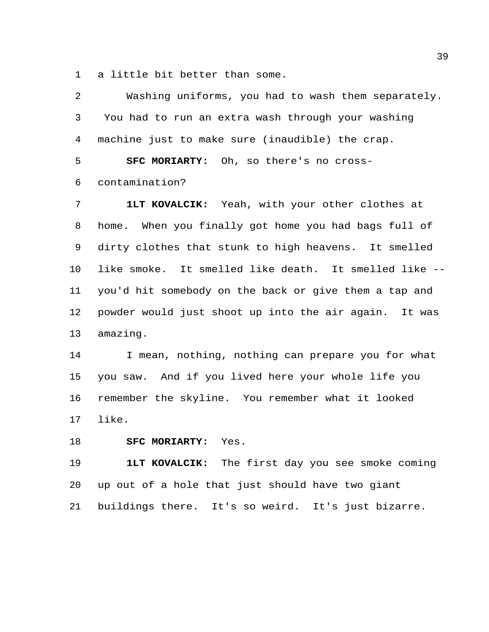a little bit better than some.

| 2              | Washing uniforms, you had to wash them separately.    |
|----------------|-------------------------------------------------------|
| $\mathfrak{Z}$ | You had to run an extra wash through your washing     |
| 4              | machine just to make sure (inaudible) the crap.       |
| 5              | SFC MORIARTY: Oh, so there's no cross-                |
| 6              | contamination?                                        |
| 7              | 1LT KOVALCIK: Yeah, with your other clothes at        |
| 8              | home. When you finally got home you had bags full of  |
| 9              | dirty clothes that stunk to high heavens. It smelled  |
| 10             | like smoke. It smelled like death. It smelled like -- |
| 11             | you'd hit somebody on the back or give them a tap and |
| 12             | powder would just shoot up into the air again. It was |
| 13             | amazing.                                              |
| 14             | I mean, nothing, nothing can prepare you for what     |
| 15             | you saw. And if you lived here your whole life you    |
| 16             | remember the skyline. You remember what it looked     |
| 17             | like.                                                 |

**SFC MORIARTY:** Yes.

 **1LT KOVALCIK:** The first day you see smoke coming up out of a hole that just should have two giant buildings there. It's so weird. It's just bizarre.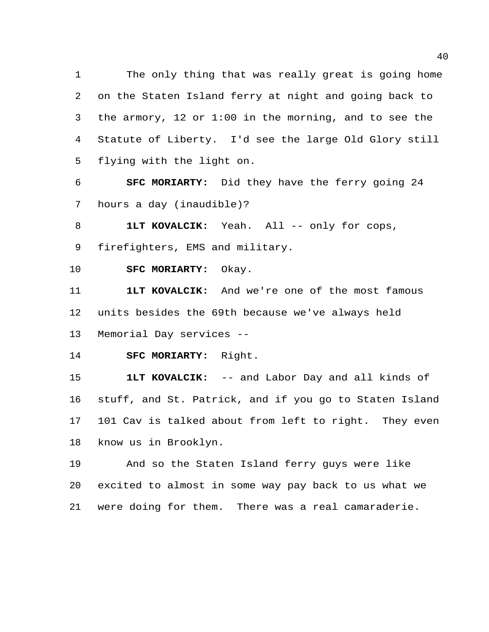The only thing that was really great is going home on the Staten Island ferry at night and going back to the armory, 12 or 1:00 in the morning, and to see the Statute of Liberty. I'd see the large Old Glory still flying with the light on.

 **SFC MORIARTY:** Did they have the ferry going 24 hours a day (inaudible)?

**1LT KOVALCIK:** Yeah. All -- only for cops,

firefighters, EMS and military.

**SFC MORIARTY:** Okay.

 **1LT KOVALCIK:** And we're one of the most famous units besides the 69th because we've always held Memorial Day services --

**SFC MORIARTY:** Right.

 **1LT KOVALCIK:** -- and Labor Day and all kinds of stuff, and St. Patrick, and if you go to Staten Island 101 Cav is talked about from left to right. They even know us in Brooklyn.

 And so the Staten Island ferry guys were like excited to almost in some way pay back to us what we were doing for them. There was a real camaraderie.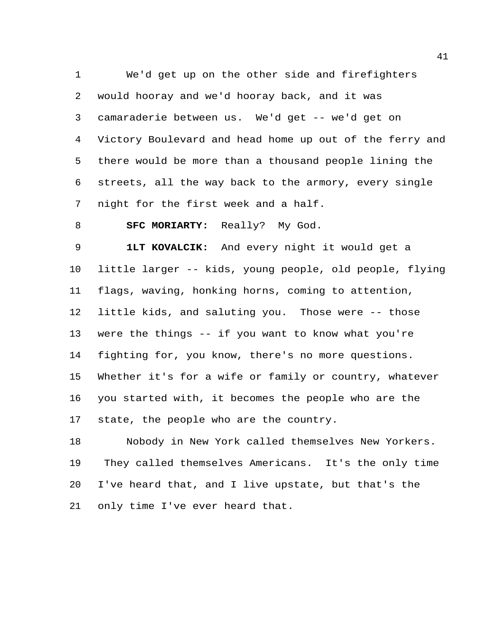We'd get up on the other side and firefighters would hooray and we'd hooray back, and it was camaraderie between us. We'd get -- we'd get on Victory Boulevard and head home up out of the ferry and there would be more than a thousand people lining the streets, all the way back to the armory, every single night for the first week and a half.

**SFC MORIARTY:** Really? My God.

 **1LT KOVALCIK:** And every night it would get a little larger -- kids, young people, old people, flying flags, waving, honking horns, coming to attention, little kids, and saluting you. Those were -- those were the things -- if you want to know what you're fighting for, you know, there's no more questions. Whether it's for a wife or family or country, whatever you started with, it becomes the people who are the state, the people who are the country.

 Nobody in New York called themselves New Yorkers. They called themselves Americans. It's the only time I've heard that, and I live upstate, but that's the only time I've ever heard that.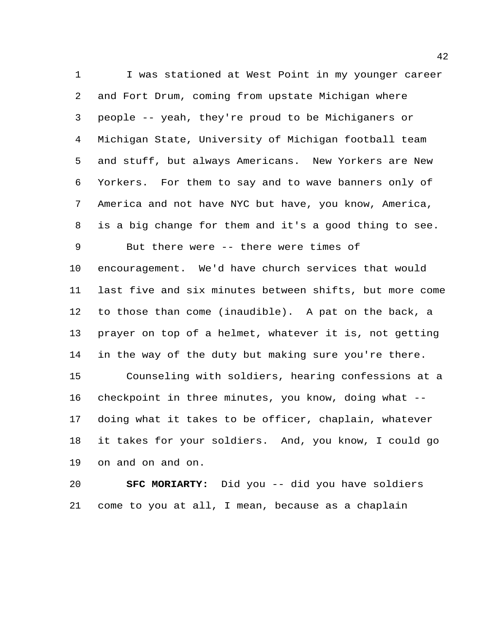1 I was stationed at West Point in my younger career and Fort Drum, coming from upstate Michigan where people -- yeah, they're proud to be Michiganers or Michigan State, University of Michigan football team and stuff, but always Americans. New Yorkers are New Yorkers. For them to say and to wave banners only of America and not have NYC but have, you know, America, is a big change for them and it's a good thing to see. But there were -- there were times of encouragement. We'd have church services that would last five and six minutes between shifts, but more come to those than come (inaudible). A pat on the back, a prayer on top of a helmet, whatever it is, not getting in the way of the duty but making sure you're there. Counseling with soldiers, hearing confessions at a checkpoint in three minutes, you know, doing what -- doing what it takes to be officer, chaplain, whatever it takes for your soldiers. And, you know, I could go on and on and on.

 **SFC MORIARTY:** Did you -- did you have soldiers come to you at all, I mean, because as a chaplain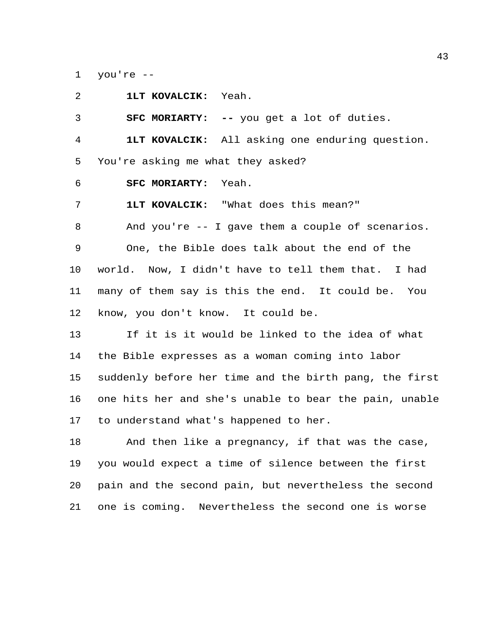you're --

| 2  | 1LT KOVALCIK: Yeah.                                    |
|----|--------------------------------------------------------|
| 3  | <b>SFC MORIARTY:</b> -- you get a lot of duties.       |
| 4  | <b>1LT KOVALCIK:</b> All asking one enduring question. |
| 5  | You're asking me what they asked?                      |
| 6  | SFC MORIARTY: Yeah.                                    |
| 7  | 1LT KOVALCIK: "What does this mean?"                   |
| 8  | And you're $-$ - I gave them a couple of scenarios.    |
| 9  | One, the Bible does talk about the end of the          |
| 10 | world. Now, I didn't have to tell them that. I had     |
| 11 | many of them say is this the end. It could be. You     |
| 12 | know, you don't know. It could be.                     |
| 13 | If it is it would be linked to the idea of what        |
| 14 | the Bible expresses as a woman coming into labor       |
| 15 | suddenly before her time and the birth pang, the first |
| 16 | one hits her and she's unable to bear the pain, unable |
| 17 | to understand what's happened to her.                  |
| 18 | And then like a pregnancy, if that was the case,       |

 you would expect a time of silence between the first pain and the second pain, but nevertheless the second one is coming. Nevertheless the second one is worse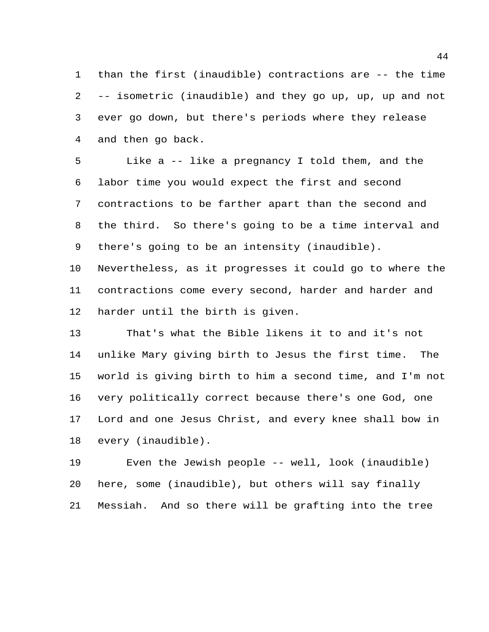than the first (inaudible) contractions are -- the time -- isometric (inaudible) and they go up, up, up and not ever go down, but there's periods where they release and then go back.

 Like a -- like a pregnancy I told them, and the labor time you would expect the first and second contractions to be farther apart than the second and the third. So there's going to be a time interval and there's going to be an intensity (inaudible).

 Nevertheless, as it progresses it could go to where the contractions come every second, harder and harder and harder until the birth is given.

 That's what the Bible likens it to and it's not unlike Mary giving birth to Jesus the first time. The world is giving birth to him a second time, and I'm not very politically correct because there's one God, one Lord and one Jesus Christ, and every knee shall bow in every (inaudible).

 Even the Jewish people -- well, look (inaudible) here, some (inaudible), but others will say finally Messiah. And so there will be grafting into the tree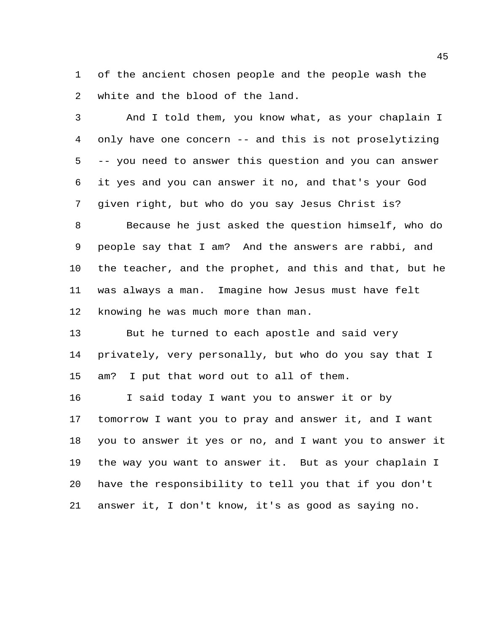of the ancient chosen people and the people wash the white and the blood of the land.

 And I told them, you know what, as your chaplain I only have one concern -- and this is not proselytizing -- you need to answer this question and you can answer it yes and you can answer it no, and that's your God given right, but who do you say Jesus Christ is?

 Because he just asked the question himself, who do people say that I am? And the answers are rabbi, and the teacher, and the prophet, and this and that, but he was always a man. Imagine how Jesus must have felt knowing he was much more than man.

 But he turned to each apostle and said very privately, very personally, but who do you say that I am? I put that word out to all of them.

 I said today I want you to answer it or by tomorrow I want you to pray and answer it, and I want you to answer it yes or no, and I want you to answer it the way you want to answer it. But as your chaplain I have the responsibility to tell you that if you don't answer it, I don't know, it's as good as saying no.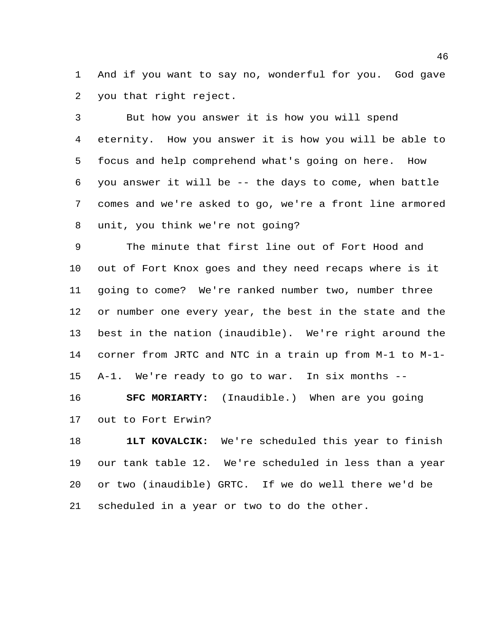And if you want to say no, wonderful for you. God gave you that right reject.

 But how you answer it is how you will spend eternity. How you answer it is how you will be able to focus and help comprehend what's going on here. How you answer it will be -- the days to come, when battle comes and we're asked to go, we're a front line armored unit, you think we're not going?

 The minute that first line out of Fort Hood and out of Fort Knox goes and they need recaps where is it going to come? We're ranked number two, number three or number one every year, the best in the state and the best in the nation (inaudible). We're right around the corner from JRTC and NTC in a train up from M-1 to M-1- A-1. We're ready to go to war. In six months --

 **SFC MORIARTY:** (Inaudible.) When are you going out to Fort Erwin?

 **1LT KOVALCIK:** We're scheduled this year to finish our tank table 12. We're scheduled in less than a year or two (inaudible) GRTC. If we do well there we'd be scheduled in a year or two to do the other.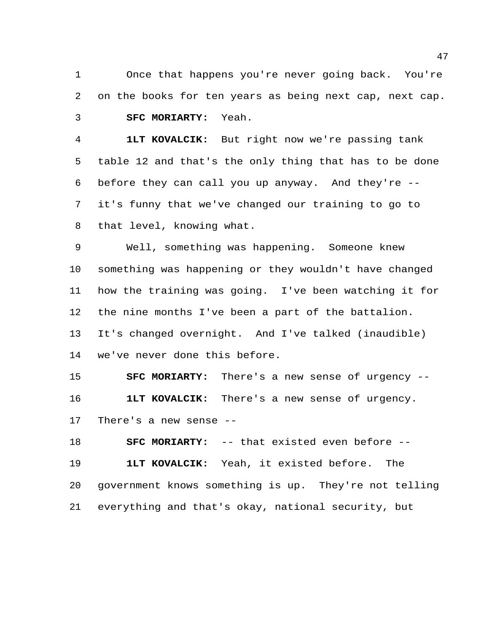Once that happens you're never going back. You're on the books for ten years as being next cap, next cap. **SFC MORIARTY:** Yeah.

 **1LT KOVALCIK:** But right now we're passing tank table 12 and that's the only thing that has to be done before they can call you up anyway. And they're -- it's funny that we've changed our training to go to that level, knowing what.

 Well, something was happening. Someone knew something was happening or they wouldn't have changed how the training was going. I've been watching it for the nine months I've been a part of the battalion. It's changed overnight. And I've talked (inaudible) we've never done this before.

 **SFC MORIARTY:** There's a new sense of urgency -- **1LT KOVALCIK:** There's a new sense of urgency. There's a new sense --

 **SFC MORIARTY:** -- that existed even before -- **1LT KOVALCIK:** Yeah, it existed before. The government knows something is up. They're not telling everything and that's okay, national security, but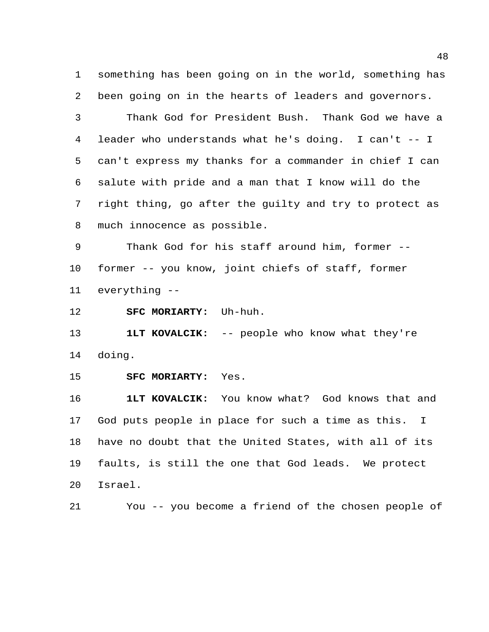something has been going on in the world, something has been going on in the hearts of leaders and governors.

 Thank God for President Bush. Thank God we have a leader who understands what he's doing. I can't -- I can't express my thanks for a commander in chief I can salute with pride and a man that I know will do the right thing, go after the guilty and try to protect as much innocence as possible.

 Thank God for his staff around him, former -- former -- you know, joint chiefs of staff, former everything --

**SFC MORIARTY:** Uh-huh.

**1LT KOVALCIK:** -- people who know what they're doing.

**SFC MORIARTY:** Yes.

 **1LT KOVALCIK:** You know what? God knows that and God puts people in place for such a time as this. I have no doubt that the United States, with all of its faults, is still the one that God leads. We protect Israel.

You -- you become a friend of the chosen people of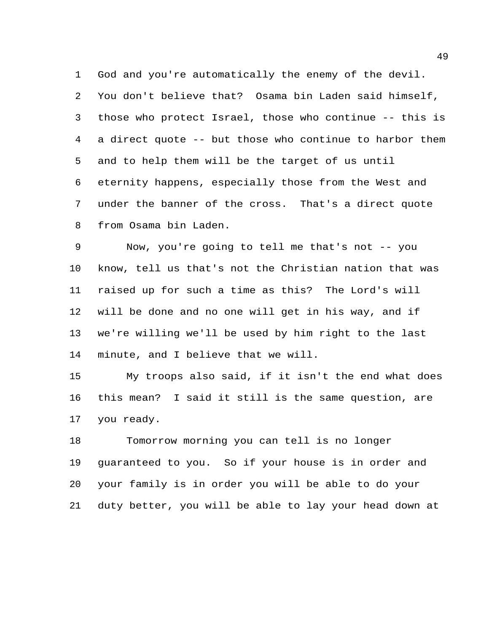God and you're automatically the enemy of the devil. You don't believe that? Osama bin Laden said himself, those who protect Israel, those who continue -- this is a direct quote -- but those who continue to harbor them and to help them will be the target of us until eternity happens, especially those from the West and under the banner of the cross. That's a direct quote from Osama bin Laden.

 Now, you're going to tell me that's not -- you know, tell us that's not the Christian nation that was raised up for such a time as this? The Lord's will will be done and no one will get in his way, and if we're willing we'll be used by him right to the last minute, and I believe that we will.

 My troops also said, if it isn't the end what does this mean? I said it still is the same question, are you ready.

 Tomorrow morning you can tell is no longer guaranteed to you. So if your house is in order and your family is in order you will be able to do your duty better, you will be able to lay your head down at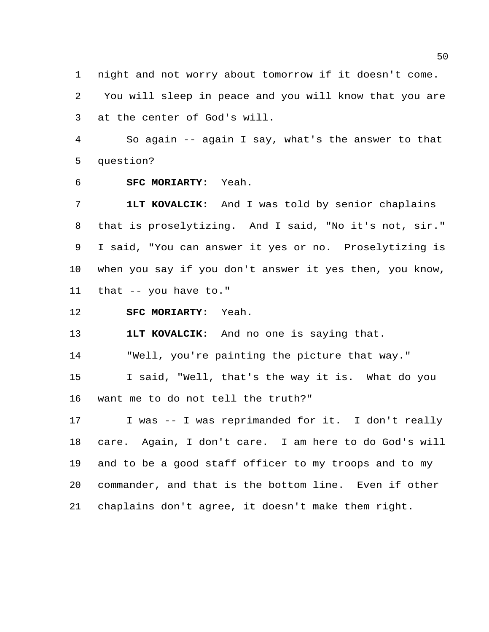night and not worry about tomorrow if it doesn't come.

 You will sleep in peace and you will know that you are at the center of God's will.

 So again -- again I say, what's the answer to that question?

**SFC MORIARTY:** Yeah.

 **1LT KOVALCIK:** And I was told by senior chaplains that is proselytizing. And I said, "No it's not, sir." I said, "You can answer it yes or no. Proselytizing is when you say if you don't answer it yes then, you know, that -- you have to."

**SFC MORIARTY:** Yeah.

**1LT KOVALCIK:** And no one is saying that.

"Well, you're painting the picture that way."

 I said, "Well, that's the way it is. What do you want me to do not tell the truth?"

17 I was -- I was reprimanded for it. I don't really care. Again, I don't care. I am here to do God's will and to be a good staff officer to my troops and to my commander, and that is the bottom line. Even if other chaplains don't agree, it doesn't make them right.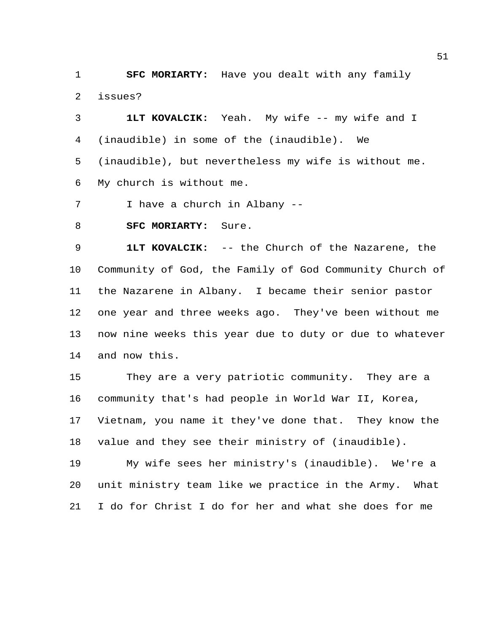**SFC MORIARTY:** Have you dealt with any family issues?

 **1LT KOVALCIK:** Yeah. My wife -- my wife and I (inaudible) in some of the (inaudible). We (inaudible), but nevertheless my wife is without me. My church is without me.

I have a church in Albany --

**SFC MORIARTY:** Sure.

 **1LT KOVALCIK:** -- the Church of the Nazarene, the Community of God, the Family of God Community Church of the Nazarene in Albany. I became their senior pastor one year and three weeks ago. They've been without me now nine weeks this year due to duty or due to whatever and now this.

 They are a very patriotic community. They are a community that's had people in World War II, Korea, Vietnam, you name it they've done that. They know the value and they see their ministry of (inaudible).

 My wife sees her ministry's (inaudible). We're a unit ministry team like we practice in the Army. What I do for Christ I do for her and what she does for me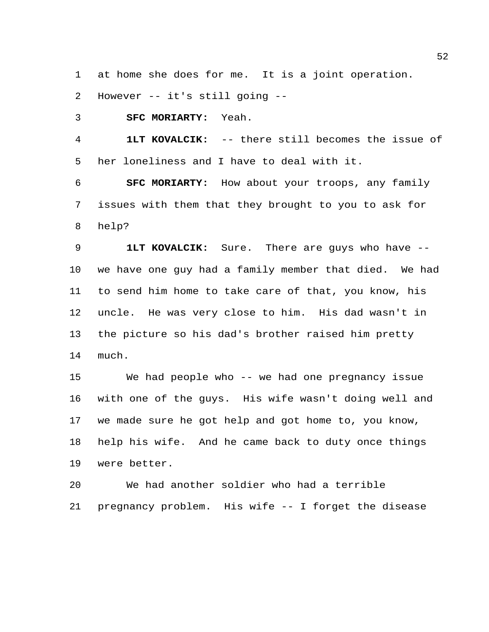at home she does for me. It is a joint operation.

However -- it's still going --

**SFC MORIARTY:** Yeah.

 **1LT KOVALCIK:** -- there still becomes the issue of her loneliness and I have to deal with it.

 **SFC MORIARTY:** How about your troops, any family issues with them that they brought to you to ask for help?

 **1LT KOVALCIK:** Sure. There are guys who have -- we have one guy had a family member that died. We had to send him home to take care of that, you know, his uncle. He was very close to him. His dad wasn't in the picture so his dad's brother raised him pretty much.

 We had people who -- we had one pregnancy issue with one of the guys. His wife wasn't doing well and we made sure he got help and got home to, you know, help his wife. And he came back to duty once things were better.

 We had another soldier who had a terrible pregnancy problem. His wife -- I forget the disease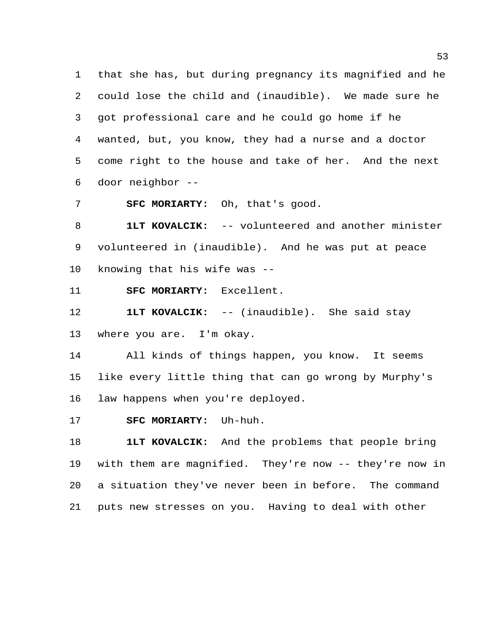that she has, but during pregnancy its magnified and he could lose the child and (inaudible). We made sure he got professional care and he could go home if he wanted, but, you know, they had a nurse and a doctor come right to the house and take of her. And the next door neighbor --

**SFC MORIARTY:** Oh, that's good.

 **1LT KOVALCIK:** -- volunteered and another minister volunteered in (inaudible). And he was put at peace knowing that his wife was --

**SFC MORIARTY:** Excellent.

 **1LT KOVALCIK:** -- (inaudible). She said stay where you are. I'm okay.

 All kinds of things happen, you know. It seems like every little thing that can go wrong by Murphy's law happens when you're deployed.

**SFC MORIARTY:** Uh-huh.

 **1LT KOVALCIK:** And the problems that people bring with them are magnified. They're now -- they're now in a situation they've never been in before. The command puts new stresses on you. Having to deal with other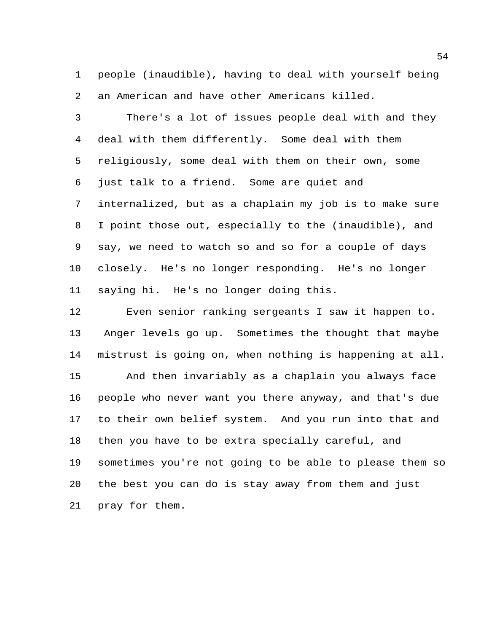people (inaudible), having to deal with yourself being an American and have other Americans killed.

 There's a lot of issues people deal with and they deal with them differently. Some deal with them religiously, some deal with them on their own, some just talk to a friend. Some are quiet and internalized, but as a chaplain my job is to make sure I point those out, especially to the (inaudible), and say, we need to watch so and so for a couple of days closely. He's no longer responding. He's no longer saying hi. He's no longer doing this.

 Even senior ranking sergeants I saw it happen to. Anger levels go up. Sometimes the thought that maybe mistrust is going on, when nothing is happening at all. And then invariably as a chaplain you always face people who never want you there anyway, and that's due to their own belief system. And you run into that and then you have to be extra specially careful, and sometimes you're not going to be able to please them so the best you can do is stay away from them and just pray for them.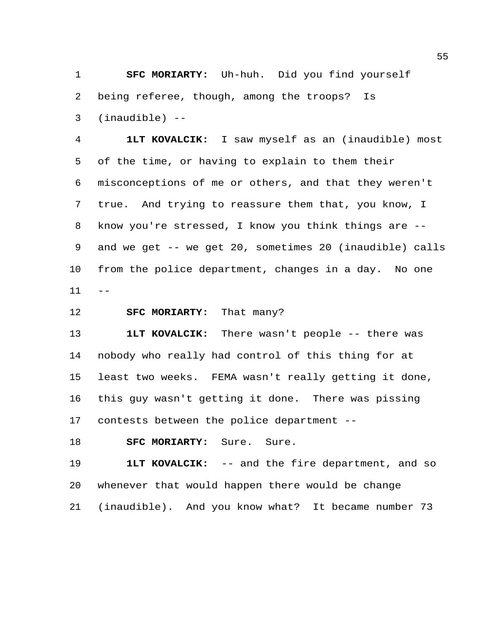**SFC MORIARTY:** Uh-huh. Did you find yourself being referee, though, among the troops? Is (inaudible) --

 **1LT KOVALCIK:** I saw myself as an (inaudible) most of the time, or having to explain to them their misconceptions of me or others, and that they weren't true. And trying to reassure them that, you know, I know you're stressed, I know you think things are -- and we get -- we get 20, sometimes 20 (inaudible) calls from the police department, changes in a day. No one  $11 - -$ 

**SFC MORIARTY:** That many?

 **1LT KOVALCIK:** There wasn't people -- there was nobody who really had control of this thing for at least two weeks. FEMA wasn't really getting it done, this guy wasn't getting it done. There was pissing contests between the police department --

**SFC MORIARTY:** Sure. Sure.

 **1LT KOVALCIK:** -- and the fire department, and so whenever that would happen there would be change (inaudible). And you know what? It became number 73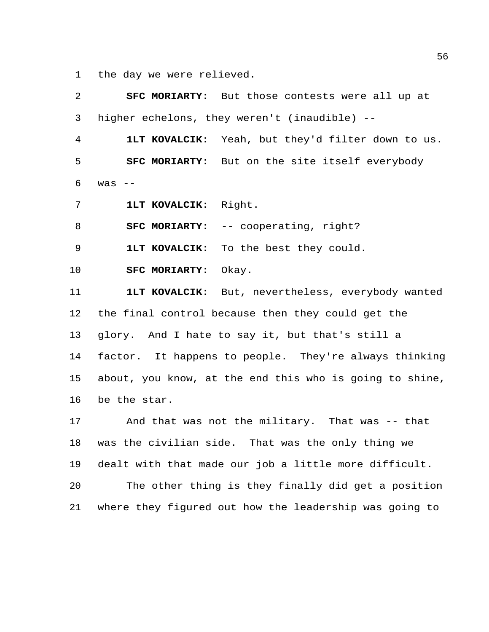the day we were relieved.

| 2  |                                                   | SFC MORIARTY: But those contests were all up at         |  |  |  |
|----|---------------------------------------------------|---------------------------------------------------------|--|--|--|
| 3  |                                                   | higher echelons, they weren't (inaudible) --            |  |  |  |
| 4  |                                                   | 1LT KOVALCIK: Yeah, but they'd filter down to us.       |  |  |  |
| 5  |                                                   | <b>SFC MORIARTY:</b> But on the site itself everybody   |  |  |  |
| 6  | $was$ $-$                                         |                                                         |  |  |  |
| 7  | 1LT KOVALCIK: Right.                              |                                                         |  |  |  |
| 8  |                                                   | <b>SFC MORIARTY:</b> -- cooperating, right?             |  |  |  |
| 9  |                                                   | 1LT KOVALCIK: To the best they could.                   |  |  |  |
| 10 | SFC MORIARTY: Okay.                               |                                                         |  |  |  |
| 11 |                                                   | 1LT KOVALCIK: But, nevertheless, everybody wanted       |  |  |  |
| 12 |                                                   | the final control because then they could get the       |  |  |  |
| 13 | glory. And I hate to say it, but that's still a   |                                                         |  |  |  |
| 14 |                                                   | factor. It happens to people. They're always thinking   |  |  |  |
| 15 |                                                   | about, you know, at the end this who is going to shine, |  |  |  |
| 16 | be the star.                                      |                                                         |  |  |  |
| 17 |                                                   | And that was not the military. That was -- that         |  |  |  |
| 18 | was the civilian side. That was the only thing we |                                                         |  |  |  |
| 19 |                                                   | dealt with that made our job a little more difficult.   |  |  |  |
| 20 |                                                   | The other thing is they finally did get a position      |  |  |  |
| 21 |                                                   | where they figured out how the leadership was going to  |  |  |  |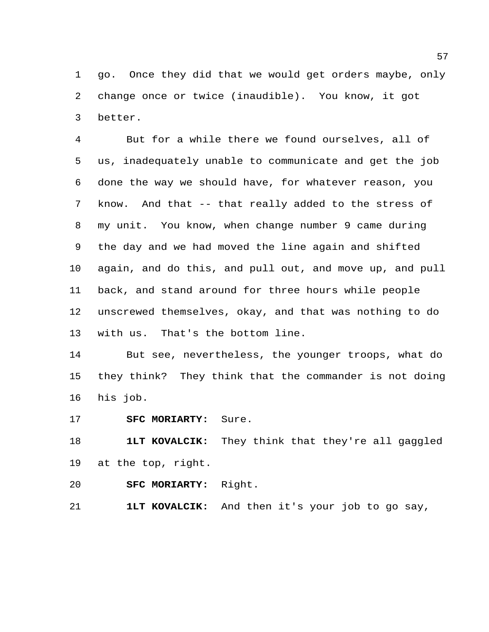go. Once they did that we would get orders maybe, only change once or twice (inaudible). You know, it got better.

 But for a while there we found ourselves, all of us, inadequately unable to communicate and get the job done the way we should have, for whatever reason, you know. And that -- that really added to the stress of my unit. You know, when change number 9 came during the day and we had moved the line again and shifted again, and do this, and pull out, and move up, and pull back, and stand around for three hours while people unscrewed themselves, okay, and that was nothing to do with us. That's the bottom line.

 But see, nevertheless, the younger troops, what do they think? They think that the commander is not doing his job.

**SFC MORIARTY:** Sure.

 **1LT KOVALCIK:** They think that they're all gaggled at the top, right.

**SFC MORIARTY:** Right.

**1LT KOVALCIK:** And then it's your job to go say,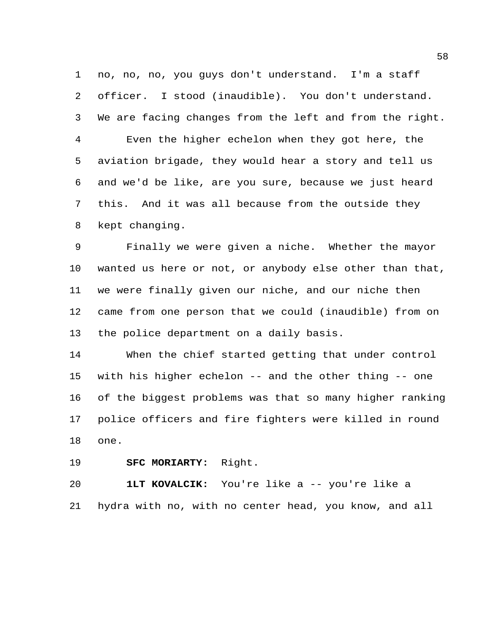no, no, no, you guys don't understand. I'm a staff officer. I stood (inaudible). You don't understand. We are facing changes from the left and from the right. Even the higher echelon when they got here, the aviation brigade, they would hear a story and tell us and we'd be like, are you sure, because we just heard this. And it was all because from the outside they kept changing.

 Finally we were given a niche. Whether the mayor wanted us here or not, or anybody else other than that, we were finally given our niche, and our niche then came from one person that we could (inaudible) from on the police department on a daily basis.

 When the chief started getting that under control with his higher echelon -- and the other thing -- one of the biggest problems was that so many higher ranking police officers and fire fighters were killed in round one.

**SFC MORIARTY:** Right.

 **1LT KOVALCIK:** You're like a -- you're like a hydra with no, with no center head, you know, and all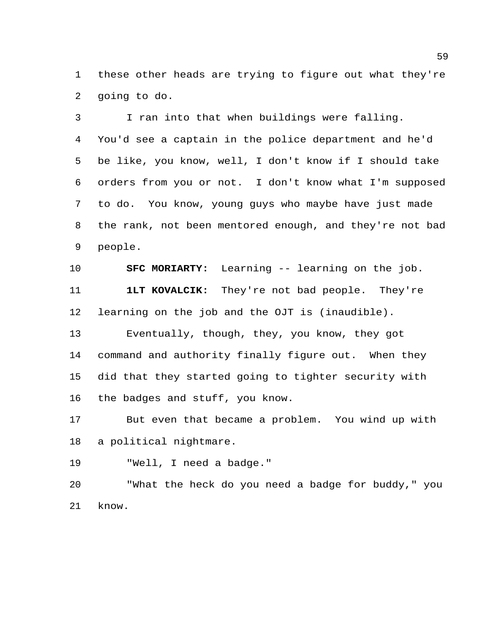these other heads are trying to figure out what they're going to do.

 I ran into that when buildings were falling. You'd see a captain in the police department and he'd be like, you know, well, I don't know if I should take orders from you or not. I don't know what I'm supposed to do. You know, young guys who maybe have just made the rank, not been mentored enough, and they're not bad people.

 **SFC MORIARTY:** Learning -- learning on the job. **1LT KOVALCIK:** They're not bad people. They're learning on the job and the OJT is (inaudible).

 Eventually, though, they, you know, they got command and authority finally figure out. When they did that they started going to tighter security with the badges and stuff, you know.

 But even that became a problem. You wind up with a political nightmare.

"Well, I need a badge."

 "What the heck do you need a badge for buddy," you know.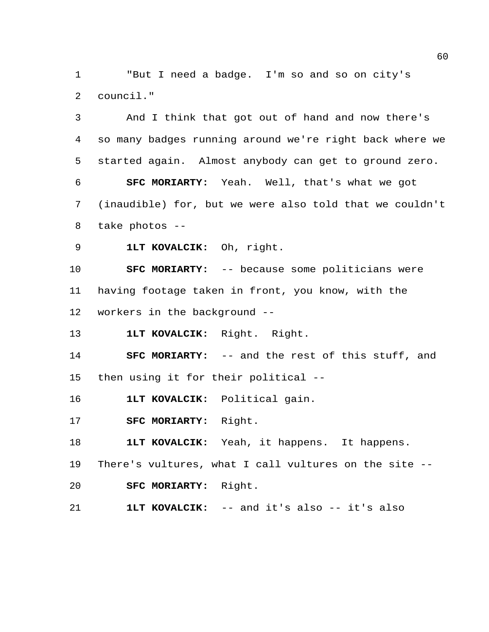"But I need a badge. I'm so and so on city's council."

 And I think that got out of hand and now there's so many badges running around we're right back where we started again. Almost anybody can get to ground zero. **SFC MORIARTY:** Yeah. Well, that's what we got (inaudible) for, but we were also told that we couldn't take photos -- **1LT KOVALCIK:** Oh, right. **SFC MORIARTY:** -- because some politicians were having footage taken in front, you know, with the workers in the background -- **1LT KOVALCIK:** Right. Right. **SFC MORIARTY:** -- and the rest of this stuff, and then using it for their political -- **1LT KOVALCIK:** Political gain. **SFC MORIARTY:** Right.

**1LT KOVALCIK:** Yeah, it happens. It happens.

 There's vultures, what I call vultures on the site -- **SFC MORIARTY:** Right.

**1LT KOVALCIK:** -- and it's also -- it's also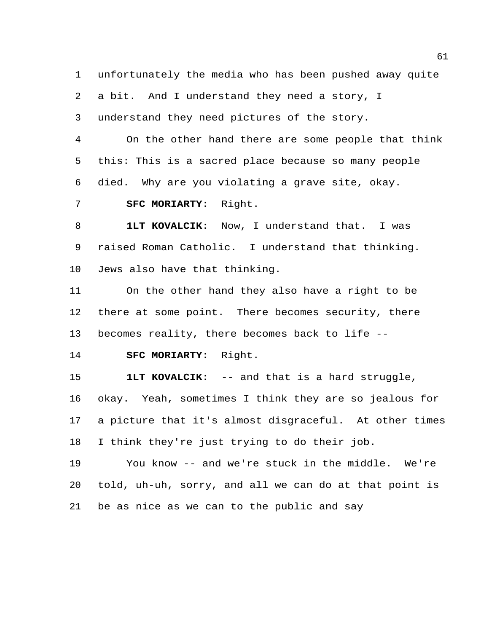unfortunately the media who has been pushed away quite a bit. And I understand they need a story, I understand they need pictures of the story.

 On the other hand there are some people that think this: This is a sacred place because so many people died. Why are you violating a grave site, okay. **SFC MORIARTY:** Right.

 **1LT KOVALCIK:** Now, I understand that. I was raised Roman Catholic. I understand that thinking. Jews also have that thinking.

 On the other hand they also have a right to be there at some point. There becomes security, there becomes reality, there becomes back to life --

**SFC MORIARTY:** Right.

 **1LT KOVALCIK:** -- and that is a hard struggle, okay. Yeah, sometimes I think they are so jealous for a picture that it's almost disgraceful. At other times I think they're just trying to do their job.

 You know -- and we're stuck in the middle. We're told, uh-uh, sorry, and all we can do at that point is be as nice as we can to the public and say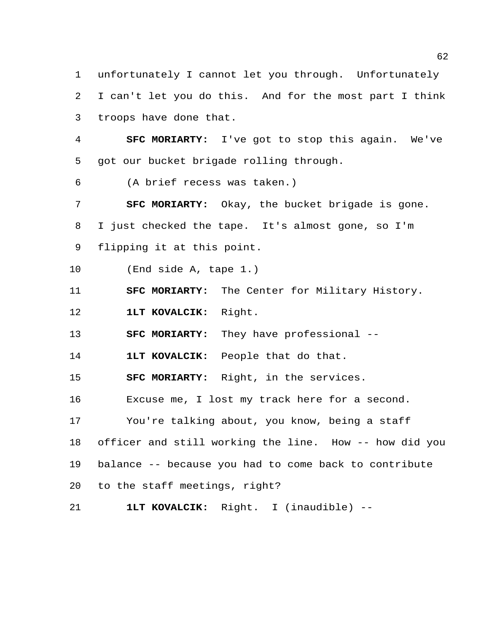unfortunately I cannot let you through. Unfortunately I can't let you do this. And for the most part I think troops have done that.

 **SFC MORIARTY:** I've got to stop this again. We've got our bucket brigade rolling through.

(A brief recess was taken.)

 **SFC MORIARTY:** Okay, the bucket brigade is gone. I just checked the tape. It's almost gone, so I'm flipping it at this point.

(End side A, tape 1.)

**SFC MORIARTY:** The Center for Military History.

**1LT KOVALCIK:** Right.

**SFC MORIARTY:** They have professional --

**1LT KOVALCIK:** People that do that.

**SFC MORIARTY:** Right, in the services.

Excuse me, I lost my track here for a second.

You're talking about, you know, being a staff

 officer and still working the line. How -- how did you balance -- because you had to come back to contribute

to the staff meetings, right?

**1LT KOVALCIK:** Right. I (inaudible) --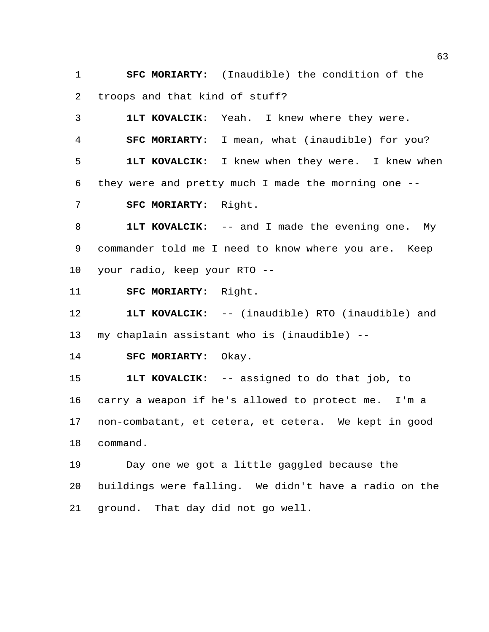**SFC MORIARTY:** (Inaudible) the condition of the troops and that kind of stuff?

 **1LT KOVALCIK:** Yeah. I knew where they were. **SFC MORIARTY:** I mean, what (inaudible) for you? **1LT KOVALCIK:** I knew when they were. I knew when they were and pretty much I made the morning one -- **SFC MORIARTY:** Right.

 **1LT KOVALCIK:** -- and I made the evening one. My commander told me I need to know where you are. Keep your radio, keep your RTO --

**SFC MORIARTY:** Right.

 **1LT KOVALCIK:** -- (inaudible) RTO (inaudible) and my chaplain assistant who is (inaudible) --

**SFC MORIARTY:** Okay.

 **1LT KOVALCIK:** -- assigned to do that job, to carry a weapon if he's allowed to protect me. I'm a non-combatant, et cetera, et cetera. We kept in good command.

 Day one we got a little gaggled because the buildings were falling. We didn't have a radio on the ground. That day did not go well.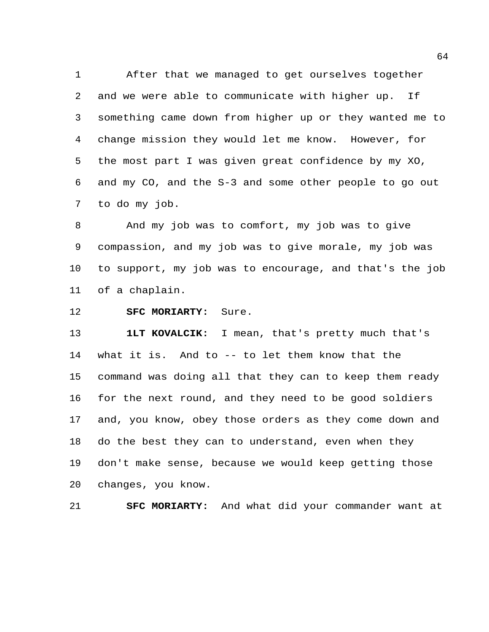After that we managed to get ourselves together and we were able to communicate with higher up. If something came down from higher up or they wanted me to change mission they would let me know. However, for the most part I was given great confidence by my XO, and my CO, and the S-3 and some other people to go out to do my job.

 And my job was to comfort, my job was to give compassion, and my job was to give morale, my job was to support, my job was to encourage, and that's the job of a chaplain.

## **SFC MORIARTY:** Sure.

 **1LT KOVALCIK:** I mean, that's pretty much that's what it is. And to -- to let them know that the command was doing all that they can to keep them ready for the next round, and they need to be good soldiers and, you know, obey those orders as they come down and do the best they can to understand, even when they don't make sense, because we would keep getting those changes, you know.

**SFC MORIARTY:** And what did your commander want at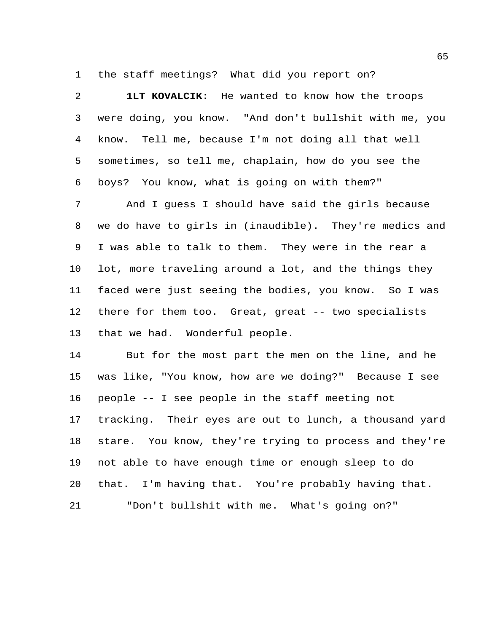the staff meetings? What did you report on?

 **1LT KOVALCIK:** He wanted to know how the troops were doing, you know. "And don't bullshit with me, you know. Tell me, because I'm not doing all that well sometimes, so tell me, chaplain, how do you see the boys? You know, what is going on with them?"

 And I guess I should have said the girls because we do have to girls in (inaudible). They're medics and I was able to talk to them. They were in the rear a lot, more traveling around a lot, and the things they faced were just seeing the bodies, you know. So I was there for them too. Great, great -- two specialists that we had. Wonderful people.

 But for the most part the men on the line, and he was like, "You know, how are we doing?" Because I see people -- I see people in the staff meeting not tracking. Their eyes are out to lunch, a thousand yard stare. You know, they're trying to process and they're not able to have enough time or enough sleep to do that. I'm having that. You're probably having that. "Don't bullshit with me. What's going on?"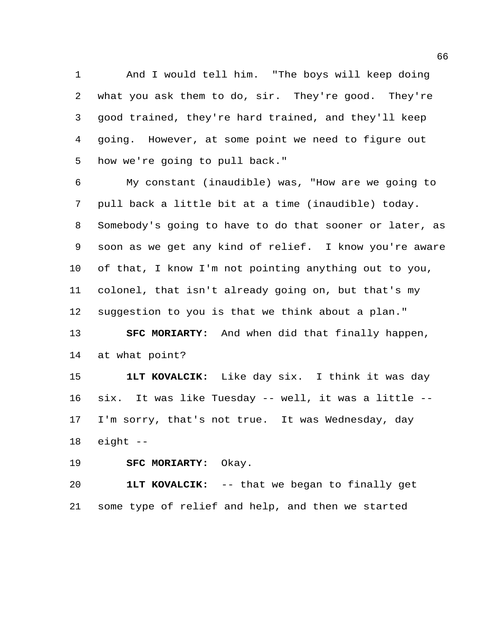And I would tell him. "The boys will keep doing what you ask them to do, sir. They're good. They're good trained, they're hard trained, and they'll keep going. However, at some point we need to figure out how we're going to pull back."

 My constant (inaudible) was, "How are we going to pull back a little bit at a time (inaudible) today. Somebody's going to have to do that sooner or later, as soon as we get any kind of relief. I know you're aware of that, I know I'm not pointing anything out to you, colonel, that isn't already going on, but that's my suggestion to you is that we think about a plan."

 **SFC MORIARTY:** And when did that finally happen, at what point?

 **1LT KOVALCIK:** Like day six. I think it was day six. It was like Tuesday -- well, it was a little -- I'm sorry, that's not true. It was Wednesday, day eight --

**SFC MORIARTY:** Okay.

 **1LT KOVALCIK:** -- that we began to finally get some type of relief and help, and then we started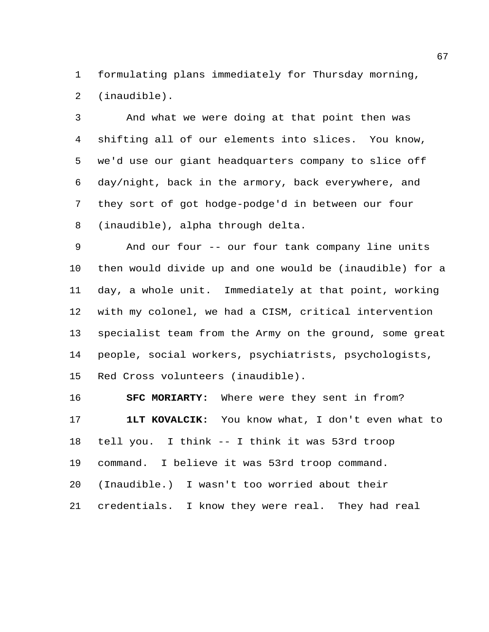formulating plans immediately for Thursday morning, (inaudible).

 And what we were doing at that point then was shifting all of our elements into slices. You know, we'd use our giant headquarters company to slice off day/night, back in the armory, back everywhere, and they sort of got hodge-podge'd in between our four (inaudible), alpha through delta.

 And our four -- our four tank company line units then would divide up and one would be (inaudible) for a day, a whole unit. Immediately at that point, working with my colonel, we had a CISM, critical intervention specialist team from the Army on the ground, some great people, social workers, psychiatrists, psychologists, Red Cross volunteers (inaudible).

 **SFC MORIARTY:** Where were they sent in from? **1LT KOVALCIK:** You know what, I don't even what to tell you. I think -- I think it was 53rd troop command. I believe it was 53rd troop command. (Inaudible.) I wasn't too worried about their credentials. I know they were real. They had real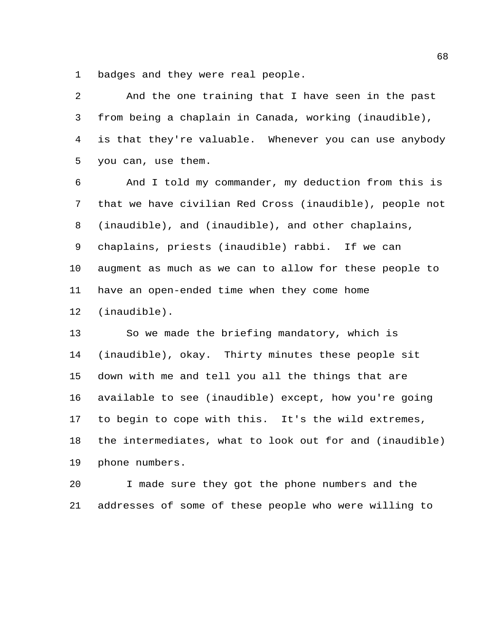badges and they were real people.

| 2  | And the one training that I have seen in the past       |
|----|---------------------------------------------------------|
| 3  | from being a chaplain in Canada, working (inaudible),   |
| 4  | is that they're valuable. Whenever you can use anybody  |
| 5  | you can, use them.                                      |
| 6  | And I told my commander, my deduction from this is      |
| 7  | that we have civilian Red Cross (inaudible), people not |
| 8  | (inaudible), and (inaudible), and other chaplains,      |
| 9  | chaplains, priests (inaudible) rabbi. If we can         |
| 10 | augment as much as we can to allow for these people to  |
| 11 | have an open-ended time when they come home             |
| 12 | $(inaudible)$ .                                         |
| 13 | So we made the briefing mandatory, which is             |
| 14 | (inaudible), okay. Thirty minutes these people sit      |
| 15 | down with me and tell you all the things that are       |
| 16 | available to see (inaudible) except, how you're going   |
| 17 | to begin to cope with this. It's the wild extremes,     |
| 18 | the intermediates, what to look out for and (inaudible) |
|    |                                                         |

phone numbers.

 I made sure they got the phone numbers and the addresses of some of these people who were willing to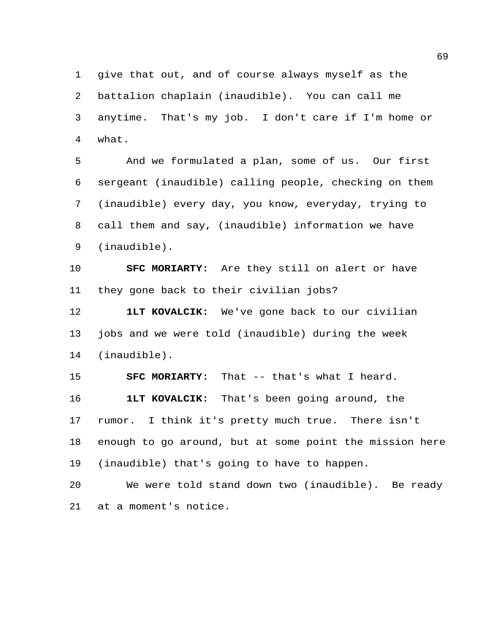give that out, and of course always myself as the battalion chaplain (inaudible). You can call me anytime. That's my job. I don't care if I'm home or what.

 And we formulated a plan, some of us. Our first sergeant (inaudible) calling people, checking on them (inaudible) every day, you know, everyday, trying to call them and say, (inaudible) information we have (inaudible).

 **SFC MORIARTY:** Are they still on alert or have they gone back to their civilian jobs?

 **1LT KOVALCIK:** We've gone back to our civilian jobs and we were told (inaudible) during the week (inaudible).

 **SFC MORIARTY:** That -- that's what I heard. **1LT KOVALCIK:** That's been going around, the rumor. I think it's pretty much true. There isn't enough to go around, but at some point the mission here (inaudible) that's going to have to happen.

 We were told stand down two (inaudible). Be ready at a moment's notice.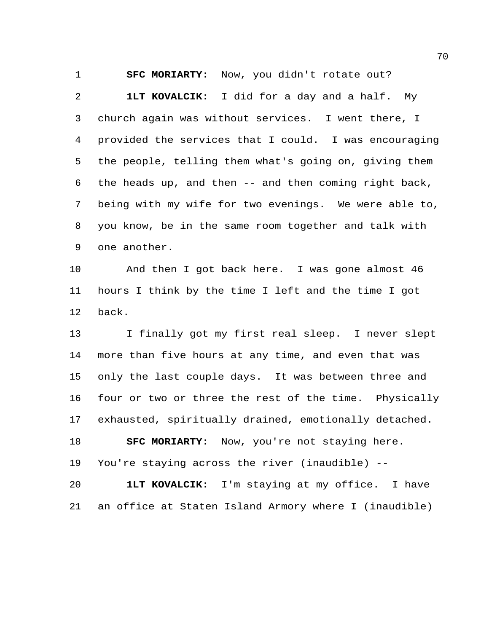**SFC MORIARTY:** Now, you didn't rotate out?

 **1LT KOVALCIK:** I did for a day and a half. My church again was without services. I went there, I provided the services that I could. I was encouraging the people, telling them what's going on, giving them the heads up, and then -- and then coming right back, being with my wife for two evenings. We were able to, you know, be in the same room together and talk with one another.

 And then I got back here. I was gone almost 46 hours I think by the time I left and the time I got back.

 I finally got my first real sleep. I never slept more than five hours at any time, and even that was only the last couple days. It was between three and four or two or three the rest of the time. Physically exhausted, spiritually drained, emotionally detached.

 **SFC MORIARTY:** Now, you're not staying here. You're staying across the river (inaudible) --

 **1LT KOVALCIK:** I'm staying at my office. I have an office at Staten Island Armory where I (inaudible)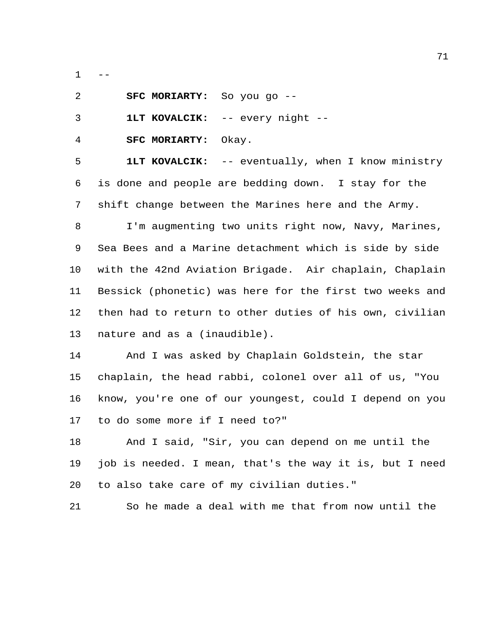$-$ 

| -2 | <b>SFC MORIARTY:</b> So you go -- |  |  |
|----|-----------------------------------|--|--|
|    |                                   |  |  |

**1LT KOVALCIK:** -- every night --

**SFC MORIARTY:** Okay.

 **1LT KOVALCIK:** -- eventually, when I know ministry is done and people are bedding down. I stay for the shift change between the Marines here and the Army.

 I'm augmenting two units right now, Navy, Marines, Sea Bees and a Marine detachment which is side by side with the 42nd Aviation Brigade. Air chaplain, Chaplain Bessick (phonetic) was here for the first two weeks and then had to return to other duties of his own, civilian nature and as a (inaudible).

 And I was asked by Chaplain Goldstein, the star chaplain, the head rabbi, colonel over all of us, "You know, you're one of our youngest, could I depend on you to do some more if I need to?"

 And I said, "Sir, you can depend on me until the job is needed. I mean, that's the way it is, but I need to also take care of my civilian duties."

So he made a deal with me that from now until the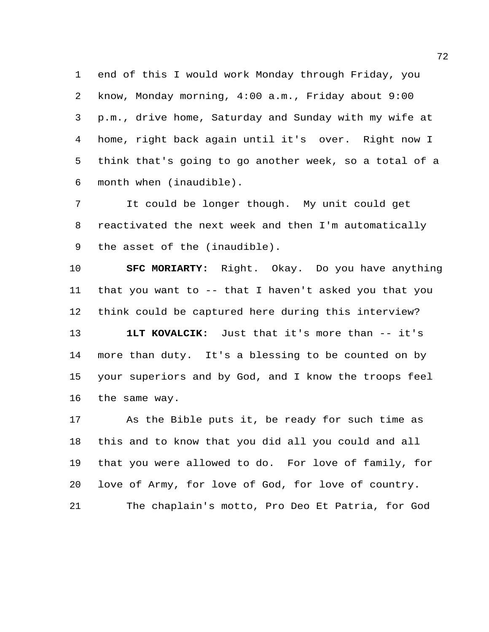end of this I would work Monday through Friday, you know, Monday morning, 4:00 a.m., Friday about 9:00 p.m., drive home, Saturday and Sunday with my wife at home, right back again until it's over. Right now I think that's going to go another week, so a total of a month when (inaudible).

 It could be longer though. My unit could get reactivated the next week and then I'm automatically the asset of the (inaudible).

 **SFC MORIARTY:** Right. Okay. Do you have anything that you want to -- that I haven't asked you that you think could be captured here during this interview?

**1LT KOVALCIK:** Just that it's more than -- it's more than duty. It's a blessing to be counted on by your superiors and by God, and I know the troops feel the same way.

 As the Bible puts it, be ready for such time as this and to know that you did all you could and all that you were allowed to do. For love of family, for love of Army, for love of God, for love of country. The chaplain's motto, Pro Deo Et Patria, for God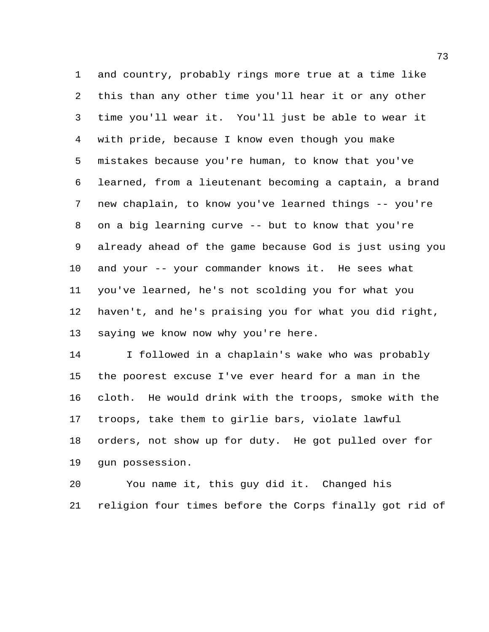and country, probably rings more true at a time like this than any other time you'll hear it or any other time you'll wear it. You'll just be able to wear it with pride, because I know even though you make mistakes because you're human, to know that you've learned, from a lieutenant becoming a captain, a brand new chaplain, to know you've learned things -- you're on a big learning curve -- but to know that you're already ahead of the game because God is just using you and your -- your commander knows it. He sees what you've learned, he's not scolding you for what you haven't, and he's praising you for what you did right, saying we know now why you're here.

 I followed in a chaplain's wake who was probably the poorest excuse I've ever heard for a man in the cloth. He would drink with the troops, smoke with the troops, take them to girlie bars, violate lawful orders, not show up for duty. He got pulled over for gun possession.

 You name it, this guy did it. Changed his religion four times before the Corps finally got rid of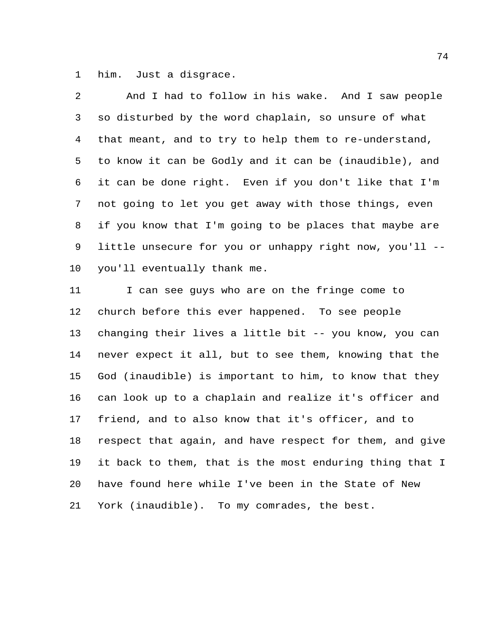him. Just a disgrace.

| $\mathcal{L}$   | And I had to follow in his wake. And I saw people       |
|-----------------|---------------------------------------------------------|
| 3 <sup>7</sup>  | so disturbed by the word chaplain, so unsure of what    |
| $4\overline{ }$ | that meant, and to try to help them to re-understand,   |
| 5               | to know it can be Godly and it can be (inaudible), and  |
|                 | 6 it can be done right. Even if you don't like that I'm |
| 7               | not going to let you get away with those things, even   |
| 8               | if you know that I'm going to be places that maybe are  |
| 9               | little unsecure for you or unhappy right now, you'll -- |
| 10              | you'll eventually thank me.                             |

11 I can see guys who are on the fringe come to church before this ever happened. To see people changing their lives a little bit -- you know, you can never expect it all, but to see them, knowing that the God (inaudible) is important to him, to know that they can look up to a chaplain and realize it's officer and friend, and to also know that it's officer, and to respect that again, and have respect for them, and give it back to them, that is the most enduring thing that I have found here while I've been in the State of New York (inaudible). To my comrades, the best.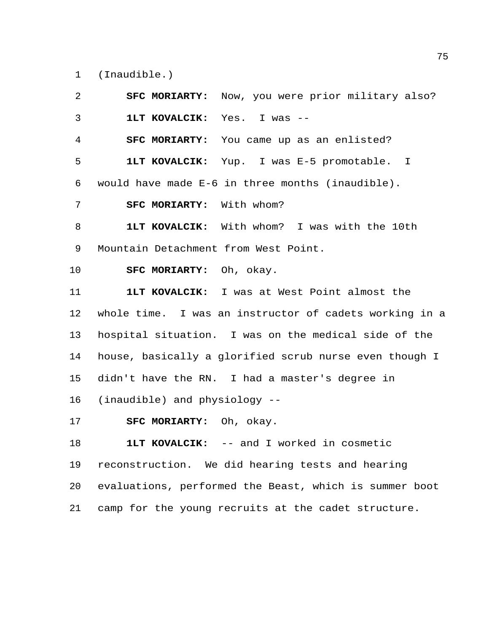(Inaudible.)

 **SFC MORIARTY:** Now, you were prior military also? **1LT KOVALCIK:** Yes. I was -- **SFC MORIARTY:** You came up as an enlisted? **1LT KOVALCIK:** Yup. I was E-5 promotable. I would have made E-6 in three months (inaudible). **SFC MORIARTY:** With whom? **1LT KOVALCIK:** With whom? I was with the 10th Mountain Detachment from West Point. **SFC MORIARTY:** Oh, okay. **1LT KOVALCIK:** I was at West Point almost the whole time. I was an instructor of cadets working in a hospital situation. I was on the medical side of the house, basically a glorified scrub nurse even though I didn't have the RN. I had a master's degree in (inaudible) and physiology -- **SFC MORIARTY:** Oh, okay. **1LT KOVALCIK:** -- and I worked in cosmetic reconstruction. We did hearing tests and hearing

 evaluations, performed the Beast, which is summer boot camp for the young recruits at the cadet structure.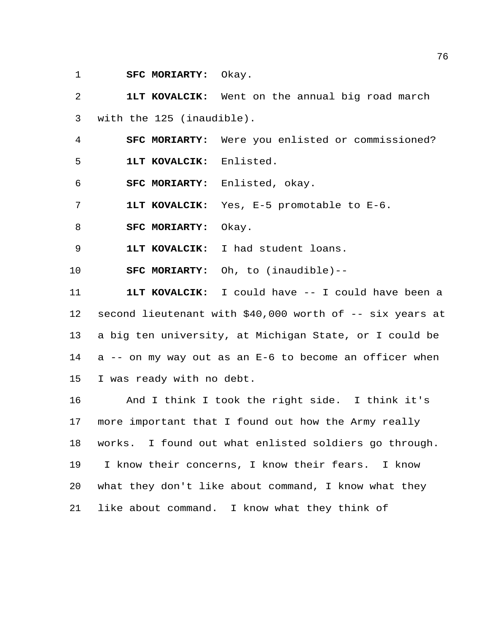**SFC MORIARTY:** Okay.

 **1LT KOVALCIK:** Went on the annual big road march with the 125 (inaudible).

**SFC MORIARTY:** Were you enlisted or commissioned?

**1LT KOVALCIK:** Enlisted.

**SFC MORIARTY:** Enlisted, okay.

**1LT KOVALCIK:** Yes, E-5 promotable to E-6.

**SFC MORIARTY:** Okay.

**1LT KOVALCIK:** I had student loans.

**SFC MORIARTY:** Oh, to (inaudible)--

 **1LT KOVALCIK:** I could have -- I could have been a second lieutenant with \$40,000 worth of -- six years at a big ten university, at Michigan State, or I could be a -- on my way out as an E-6 to become an officer when I was ready with no debt.

 And I think I took the right side. I think it's more important that I found out how the Army really works. I found out what enlisted soldiers go through. I know their concerns, I know their fears. I know what they don't like about command, I know what they like about command. I know what they think of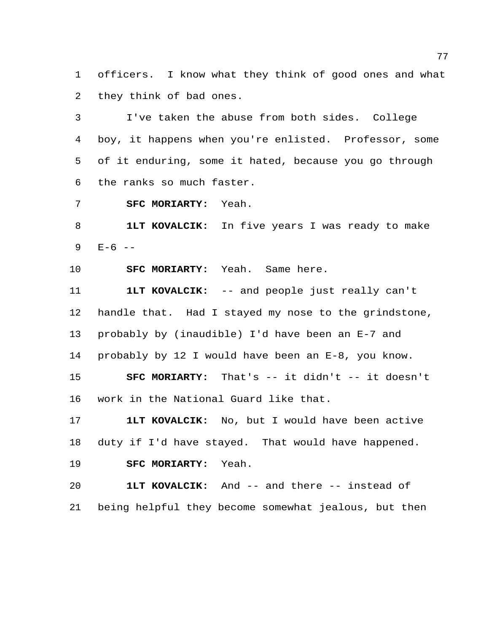officers. I know what they think of good ones and what they think of bad ones.

 I've taken the abuse from both sides. College boy, it happens when you're enlisted. Professor, some of it enduring, some it hated, because you go through the ranks so much faster.

**SFC MORIARTY:** Yeah.

 **1LT KOVALCIK:** In five years I was ready to make E-6  $-$ 

**SFC MORIARTY:** Yeah. Same here.

work in the National Guard like that.

 **1LT KOVALCIK:** -- and people just really can't handle that. Had I stayed my nose to the grindstone, probably by (inaudible) I'd have been an E-7 and probably by 12 I would have been an E-8, you know. **SFC MORIARTY:** That's -- it didn't -- it doesn't

 **1LT KOVALCIK:** No, but I would have been active duty if I'd have stayed. That would have happened. **SFC MORIARTY:** Yeah.

 **1LT KOVALCIK:** And -- and there -- instead of being helpful they become somewhat jealous, but then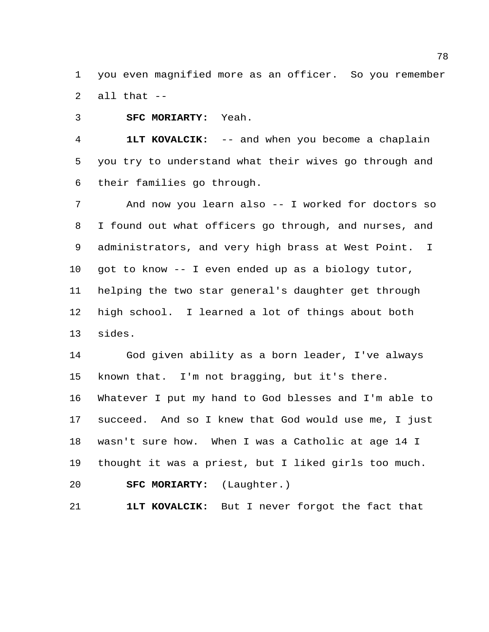you even magnified more as an officer. So you remember all that --

**SFC MORIARTY:** Yeah.

 **1LT KOVALCIK:** -- and when you become a chaplain you try to understand what their wives go through and their families go through.

 And now you learn also -- I worked for doctors so I found out what officers go through, and nurses, and administrators, and very high brass at West Point. I got to know -- I even ended up as a biology tutor, helping the two star general's daughter get through high school. I learned a lot of things about both sides.

 God given ability as a born leader, I've always known that. I'm not bragging, but it's there. Whatever I put my hand to God blesses and I'm able to succeed. And so I knew that God would use me, I just wasn't sure how. When I was a Catholic at age 14 I thought it was a priest, but I liked girls too much. **SFC MORIARTY:** (Laughter.)

**1LT KOVALCIK:** But I never forgot the fact that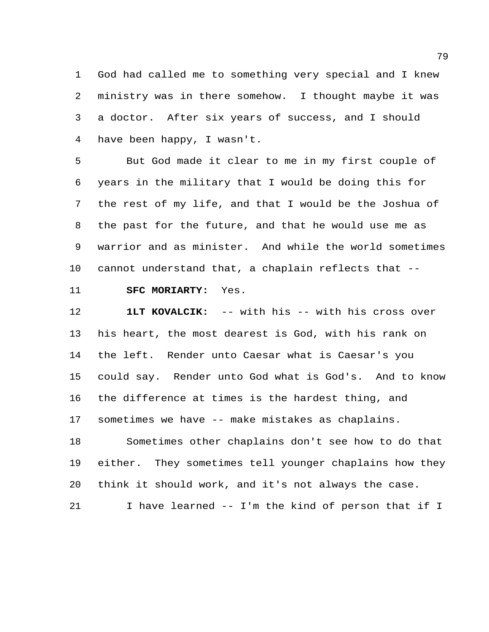God had called me to something very special and I knew ministry was in there somehow. I thought maybe it was a doctor. After six years of success, and I should have been happy, I wasn't.

 But God made it clear to me in my first couple of years in the military that I would be doing this for the rest of my life, and that I would be the Joshua of the past for the future, and that he would use me as warrior and as minister. And while the world sometimes cannot understand that, a chaplain reflects that --

**SFC MORIARTY:** Yes.

 **1LT KOVALCIK:** -- with his -- with his cross over his heart, the most dearest is God, with his rank on the left. Render unto Caesar what is Caesar's you could say. Render unto God what is God's. And to know the difference at times is the hardest thing, and sometimes we have -- make mistakes as chaplains.

 Sometimes other chaplains don't see how to do that either. They sometimes tell younger chaplains how they think it should work, and it's not always the case.

I have learned -- I'm the kind of person that if I